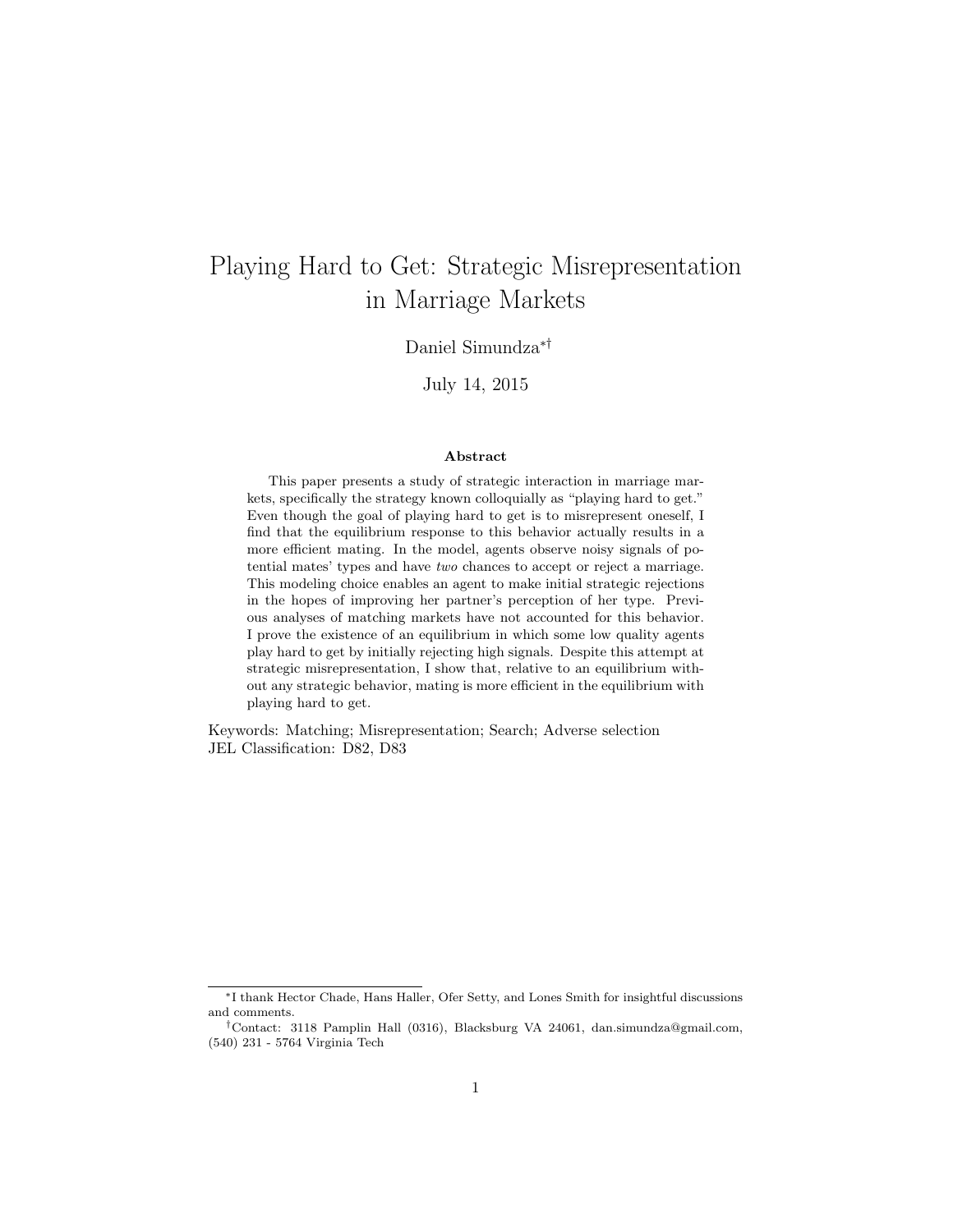# Playing Hard to Get: Strategic Misrepresentation in Marriage Markets

Daniel Simundza∗†

July 14, 2015

#### Abstract

This paper presents a study of strategic interaction in marriage markets, specifically the strategy known colloquially as "playing hard to get." Even though the goal of playing hard to get is to misrepresent oneself, I find that the equilibrium response to this behavior actually results in a more efficient mating. In the model, agents observe noisy signals of potential mates' types and have two chances to accept or reject a marriage. This modeling choice enables an agent to make initial strategic rejections in the hopes of improving her partner's perception of her type. Previous analyses of matching markets have not accounted for this behavior. I prove the existence of an equilibrium in which some low quality agents play hard to get by initially rejecting high signals. Despite this attempt at strategic misrepresentation, I show that, relative to an equilibrium without any strategic behavior, mating is more efficient in the equilibrium with playing hard to get.

Keywords: Matching; Misrepresentation; Search; Adverse selection JEL Classification: D82, D83

<sup>∗</sup>I thank Hector Chade, Hans Haller, Ofer Setty, and Lones Smith for insightful discussions and comments.

<sup>†</sup>Contact: 3118 Pamplin Hall (0316), Blacksburg VA 24061, dan.simundza@gmail.com, (540) 231 - 5764 Virginia Tech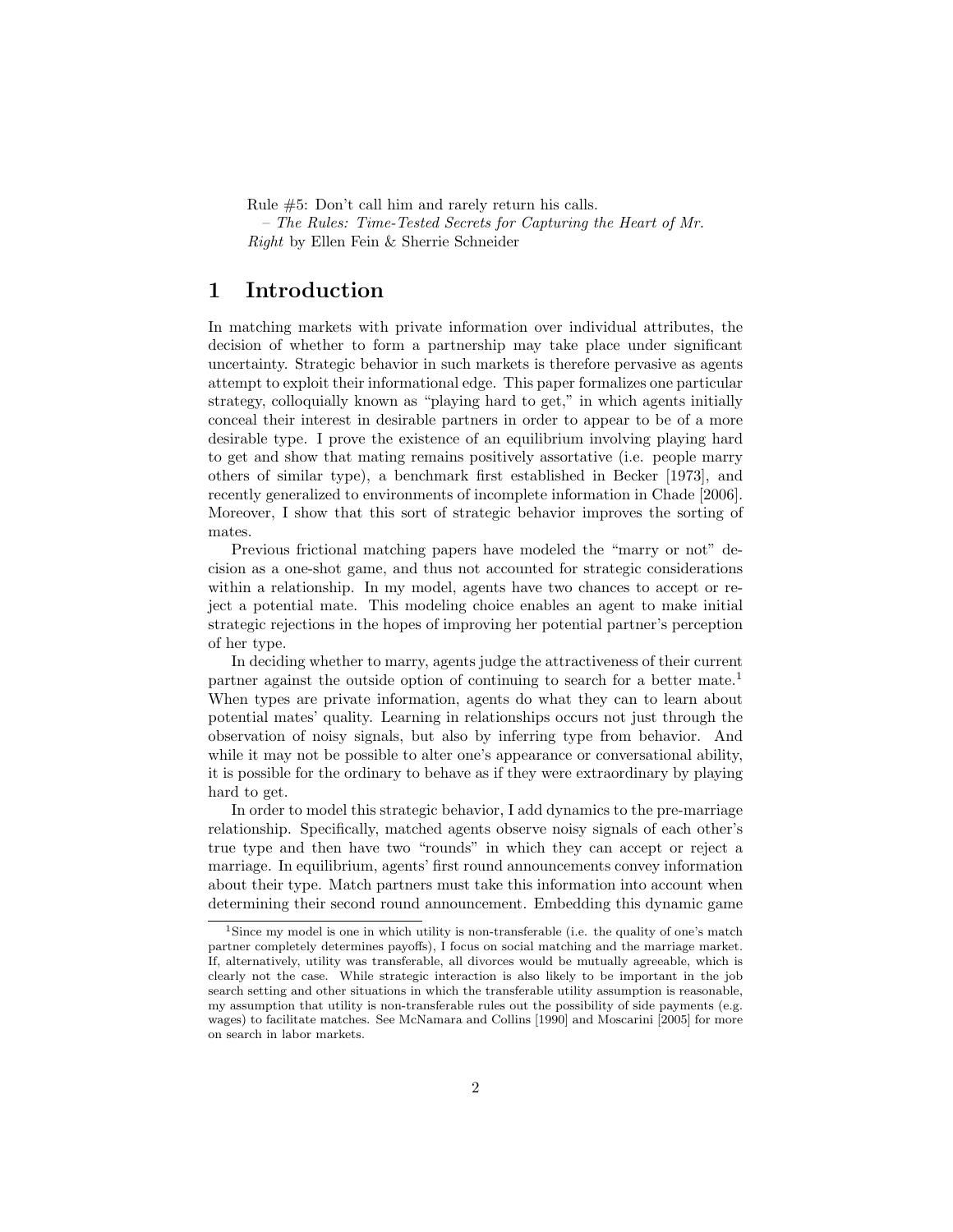Rule #5: Don't call him and rarely return his calls.

– The Rules: Time-Tested Secrets for Capturing the Heart of Mr. Right by Ellen Fein & Sherrie Schneider

# 1 Introduction

In matching markets with private information over individual attributes, the decision of whether to form a partnership may take place under significant uncertainty. Strategic behavior in such markets is therefore pervasive as agents attempt to exploit their informational edge. This paper formalizes one particular strategy, colloquially known as "playing hard to get," in which agents initially conceal their interest in desirable partners in order to appear to be of a more desirable type. I prove the existence of an equilibrium involving playing hard to get and show that mating remains positively assortative (i.e. people marry others of similar type), a benchmark first established in Becker [1973], and recently generalized to environments of incomplete information in Chade [2006]. Moreover, I show that this sort of strategic behavior improves the sorting of mates.

Previous frictional matching papers have modeled the "marry or not" decision as a one-shot game, and thus not accounted for strategic considerations within a relationship. In my model, agents have two chances to accept or reject a potential mate. This modeling choice enables an agent to make initial strategic rejections in the hopes of improving her potential partner's perception of her type.

In deciding whether to marry, agents judge the attractiveness of their current partner against the outside option of continuing to search for a better mate.<sup>1</sup> When types are private information, agents do what they can to learn about potential mates' quality. Learning in relationships occurs not just through the observation of noisy signals, but also by inferring type from behavior. And while it may not be possible to alter one's appearance or conversational ability, it is possible for the ordinary to behave as if they were extraordinary by playing hard to get.

In order to model this strategic behavior, I add dynamics to the pre-marriage relationship. Specifically, matched agents observe noisy signals of each other's true type and then have two "rounds" in which they can accept or reject a marriage. In equilibrium, agents' first round announcements convey information about their type. Match partners must take this information into account when determining their second round announcement. Embedding this dynamic game

<sup>&</sup>lt;sup>1</sup>Since my model is one in which utility is non-transferable (i.e. the quality of one's match partner completely determines payoffs), I focus on social matching and the marriage market. If, alternatively, utility was transferable, all divorces would be mutually agreeable, which is clearly not the case. While strategic interaction is also likely to be important in the job search setting and other situations in which the transferable utility assumption is reasonable, my assumption that utility is non-transferable rules out the possibility of side payments (e.g. wages) to facilitate matches. See McNamara and Collins [1990] and Moscarini [2005] for more on search in labor markets.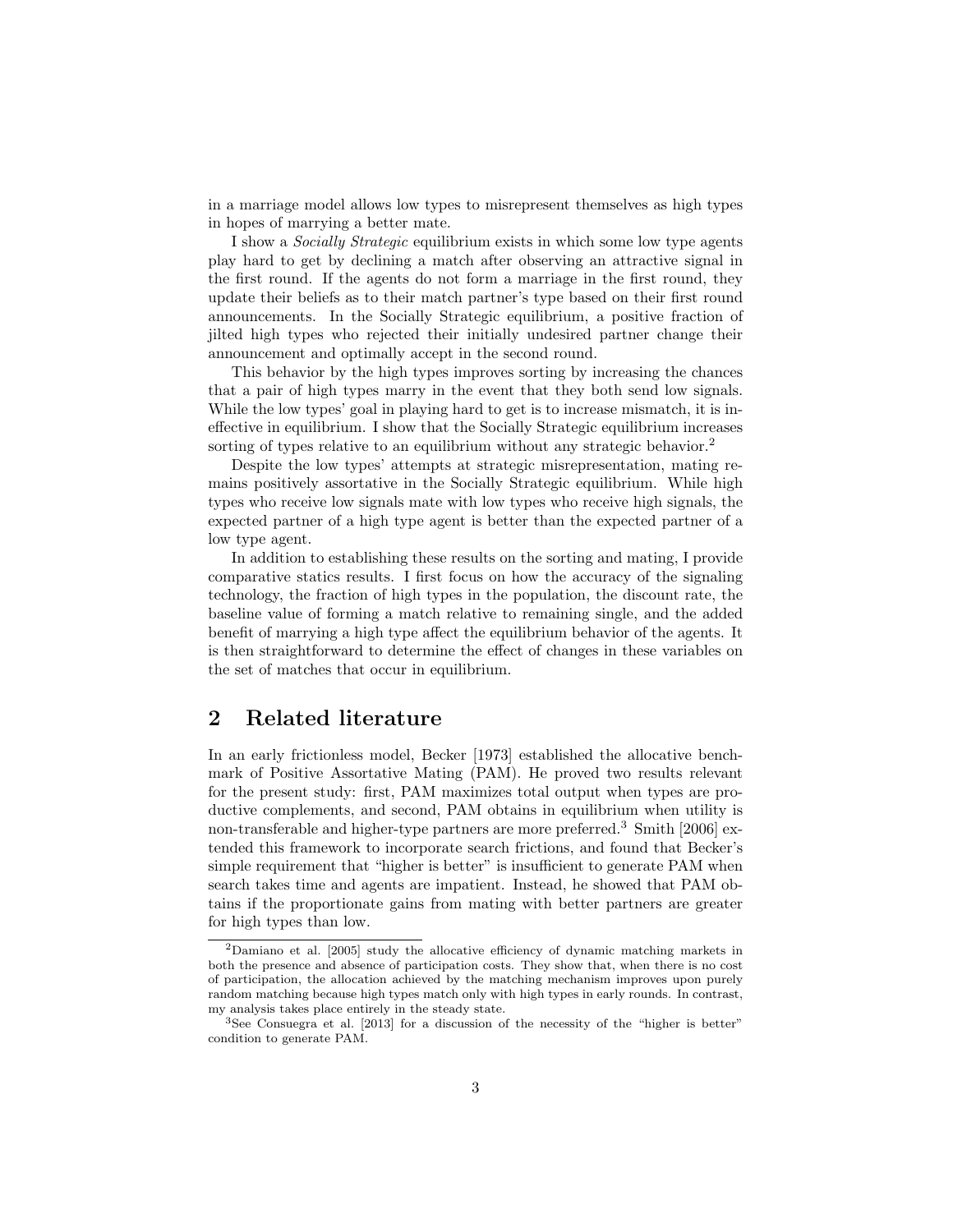in a marriage model allows low types to misrepresent themselves as high types in hopes of marrying a better mate.

I show a Socially Strategic equilibrium exists in which some low type agents play hard to get by declining a match after observing an attractive signal in the first round. If the agents do not form a marriage in the first round, they update their beliefs as to their match partner's type based on their first round announcements. In the Socially Strategic equilibrium, a positive fraction of jilted high types who rejected their initially undesired partner change their announcement and optimally accept in the second round.

This behavior by the high types improves sorting by increasing the chances that a pair of high types marry in the event that they both send low signals. While the low types' goal in playing hard to get is to increase mismatch, it is ineffective in equilibrium. I show that the Socially Strategic equilibrium increases sorting of types relative to an equilibrium without any strategic behavior.<sup>2</sup>

Despite the low types' attempts at strategic misrepresentation, mating remains positively assortative in the Socially Strategic equilibrium. While high types who receive low signals mate with low types who receive high signals, the expected partner of a high type agent is better than the expected partner of a low type agent.

In addition to establishing these results on the sorting and mating, I provide comparative statics results. I first focus on how the accuracy of the signaling technology, the fraction of high types in the population, the discount rate, the baseline value of forming a match relative to remaining single, and the added benefit of marrying a high type affect the equilibrium behavior of the agents. It is then straightforward to determine the effect of changes in these variables on the set of matches that occur in equilibrium.

# 2 Related literature

In an early frictionless model, Becker [1973] established the allocative benchmark of Positive Assortative Mating (PAM). He proved two results relevant for the present study: first, PAM maximizes total output when types are productive complements, and second, PAM obtains in equilibrium when utility is non-transferable and higher-type partners are more preferred.<sup>3</sup> Smith [2006] extended this framework to incorporate search frictions, and found that Becker's simple requirement that "higher is better" is insufficient to generate PAM when search takes time and agents are impatient. Instead, he showed that PAM obtains if the proportionate gains from mating with better partners are greater for high types than low.

<sup>2</sup>Damiano et al. [2005] study the allocative efficiency of dynamic matching markets in both the presence and absence of participation costs. They show that, when there is no cost of participation, the allocation achieved by the matching mechanism improves upon purely random matching because high types match only with high types in early rounds. In contrast, my analysis takes place entirely in the steady state.

<sup>&</sup>lt;sup>3</sup>See Consuegra et al. [2013] for a discussion of the necessity of the "higher is better" condition to generate PAM.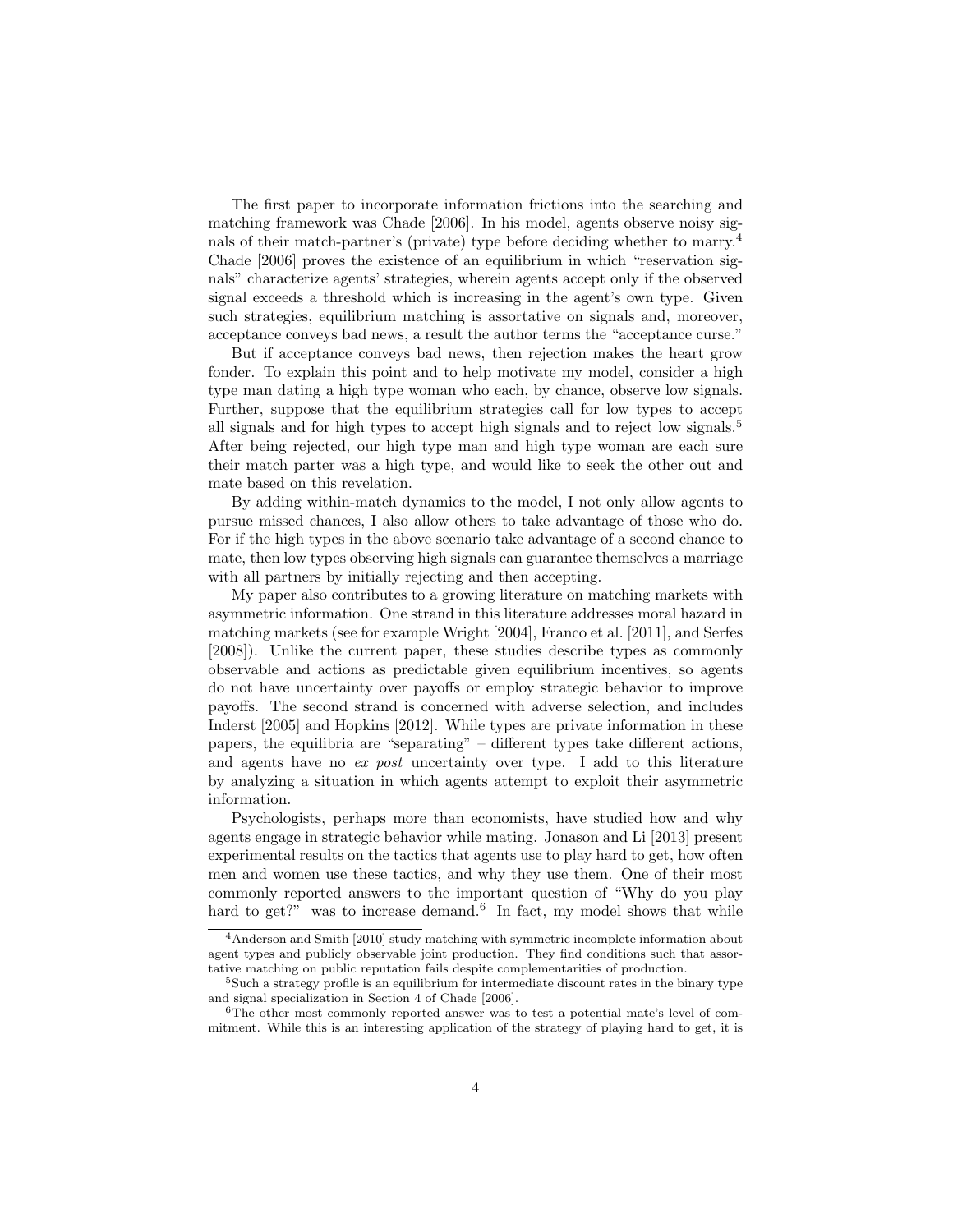The first paper to incorporate information frictions into the searching and matching framework was Chade [2006]. In his model, agents observe noisy signals of their match-partner's (private) type before deciding whether to marry.<sup>4</sup> Chade [2006] proves the existence of an equilibrium in which "reservation signals" characterize agents' strategies, wherein agents accept only if the observed signal exceeds a threshold which is increasing in the agent's own type. Given such strategies, equilibrium matching is assortative on signals and, moreover, acceptance conveys bad news, a result the author terms the "acceptance curse."

But if acceptance conveys bad news, then rejection makes the heart grow fonder. To explain this point and to help motivate my model, consider a high type man dating a high type woman who each, by chance, observe low signals. Further, suppose that the equilibrium strategies call for low types to accept all signals and for high types to accept high signals and to reject low signals.<sup>5</sup> After being rejected, our high type man and high type woman are each sure their match parter was a high type, and would like to seek the other out and mate based on this revelation.

By adding within-match dynamics to the model, I not only allow agents to pursue missed chances, I also allow others to take advantage of those who do. For if the high types in the above scenario take advantage of a second chance to mate, then low types observing high signals can guarantee themselves a marriage with all partners by initially rejecting and then accepting.

My paper also contributes to a growing literature on matching markets with asymmetric information. One strand in this literature addresses moral hazard in matching markets (see for example Wright [2004], Franco et al. [2011], and Serfes [2008]). Unlike the current paper, these studies describe types as commonly observable and actions as predictable given equilibrium incentives, so agents do not have uncertainty over payoffs or employ strategic behavior to improve payoffs. The second strand is concerned with adverse selection, and includes Inderst [2005] and Hopkins [2012]. While types are private information in these papers, the equilibria are "separating" – different types take different actions, and agents have no ex post uncertainty over type. I add to this literature by analyzing a situation in which agents attempt to exploit their asymmetric information.

Psychologists, perhaps more than economists, have studied how and why agents engage in strategic behavior while mating. Jonason and Li [2013] present experimental results on the tactics that agents use to play hard to get, how often men and women use these tactics, and why they use them. One of their most commonly reported answers to the important question of "Why do you play hard to get?" was to increase demand.<sup>6</sup> In fact, my model shows that while

<sup>4</sup>Anderson and Smith [2010] study matching with symmetric incomplete information about agent types and publicly observable joint production. They find conditions such that assortative matching on public reputation fails despite complementarities of production.

<sup>5</sup>Such a strategy profile is an equilibrium for intermediate discount rates in the binary type and signal specialization in Section 4 of Chade [2006].

<sup>6</sup>The other most commonly reported answer was to test a potential mate's level of commitment. While this is an interesting application of the strategy of playing hard to get, it is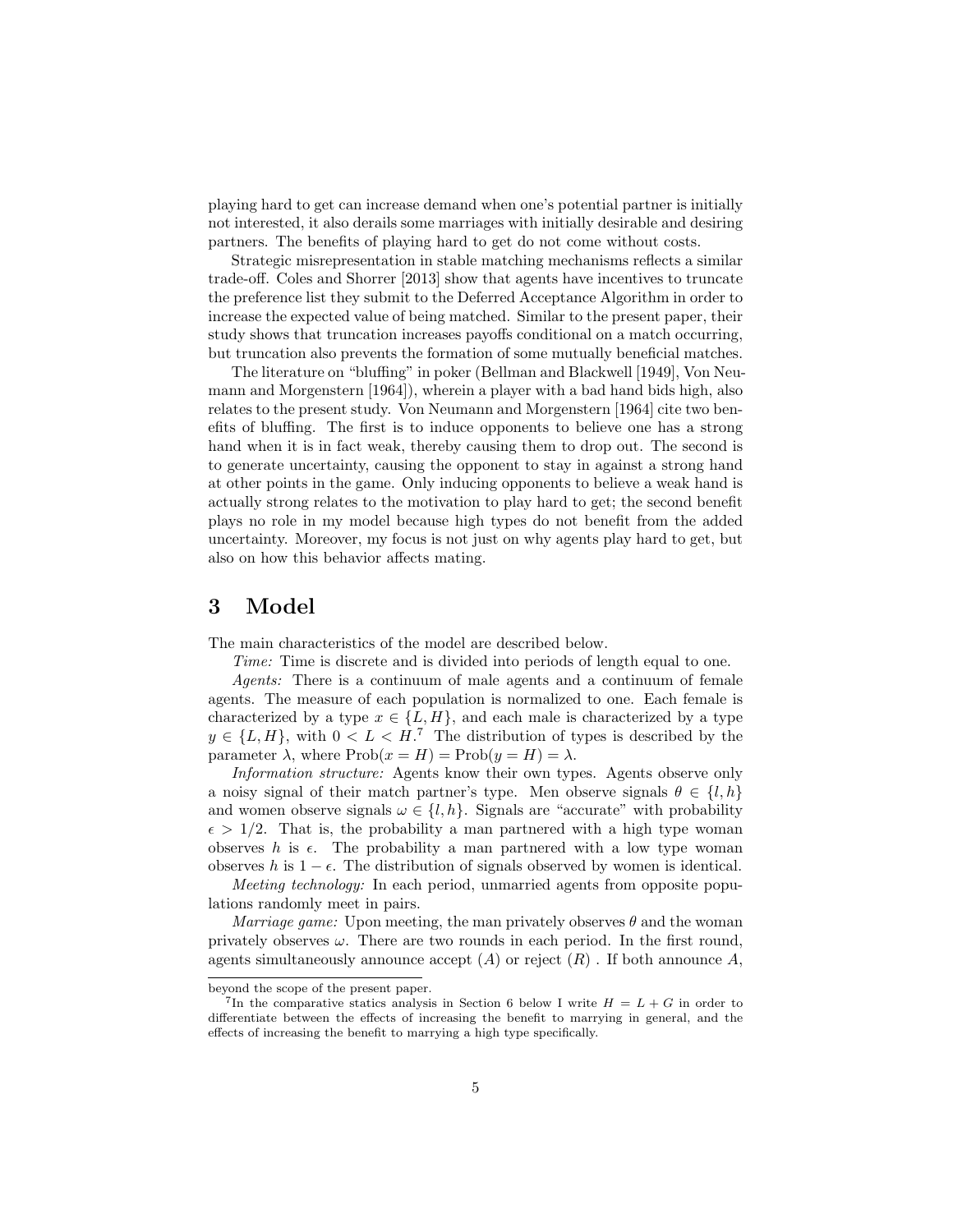playing hard to get can increase demand when one's potential partner is initially not interested, it also derails some marriages with initially desirable and desiring partners. The benefits of playing hard to get do not come without costs.

Strategic misrepresentation in stable matching mechanisms reflects a similar trade-off. Coles and Shorrer [2013] show that agents have incentives to truncate the preference list they submit to the Deferred Acceptance Algorithm in order to increase the expected value of being matched. Similar to the present paper, their study shows that truncation increases payoffs conditional on a match occurring, but truncation also prevents the formation of some mutually beneficial matches.

The literature on "bluffing" in poker (Bellman and Blackwell [1949], Von Neumann and Morgenstern [1964]), wherein a player with a bad hand bids high, also relates to the present study. Von Neumann and Morgenstern [1964] cite two benefits of bluffing. The first is to induce opponents to believe one has a strong hand when it is in fact weak, thereby causing them to drop out. The second is to generate uncertainty, causing the opponent to stay in against a strong hand at other points in the game. Only inducing opponents to believe a weak hand is actually strong relates to the motivation to play hard to get; the second benefit plays no role in my model because high types do not benefit from the added uncertainty. Moreover, my focus is not just on why agents play hard to get, but also on how this behavior affects mating.

### 3 Model

The main characteristics of the model are described below.

Time: Time is discrete and is divided into periods of length equal to one.

Agents: There is a continuum of male agents and a continuum of female agents. The measure of each population is normalized to one. Each female is characterized by a type  $x \in \{L, H\}$ , and each male is characterized by a type  $y \in \{L, H\}$ , with  $0 < L < H$ .<sup>7</sup> The distribution of types is described by the parameter  $\lambda$ , where  $\text{Prob}(x = H) = \text{Prob}(y = H) = \lambda$ .

Information structure: Agents know their own types. Agents observe only a noisy signal of their match partner's type. Men observe signals  $\theta \in \{l, h\}$ and women observe signals  $\omega \in \{l, h\}$ . Signals are "accurate" with probability  $\epsilon > 1/2$ . That is, the probability a man partnered with a high type woman observes h is  $\epsilon$ . The probability a man partnered with a low type woman observes h is  $1 - \epsilon$ . The distribution of signals observed by women is identical.

Meeting technology: In each period, unmarried agents from opposite populations randomly meet in pairs.

*Marriage game:* Upon meeting, the man privately observes  $\theta$  and the woman privately observes  $\omega$ . There are two rounds in each period. In the first round, agents simultaneously announce accept  $(A)$  or reject  $(R)$ . If both announce A,

beyond the scope of the present paper.

<sup>&</sup>lt;sup>7</sup>In the comparative statics analysis in Section 6 below I write  $H = L + G$  in order to differentiate between the effects of increasing the benefit to marrying in general, and the effects of increasing the benefit to marrying a high type specifically.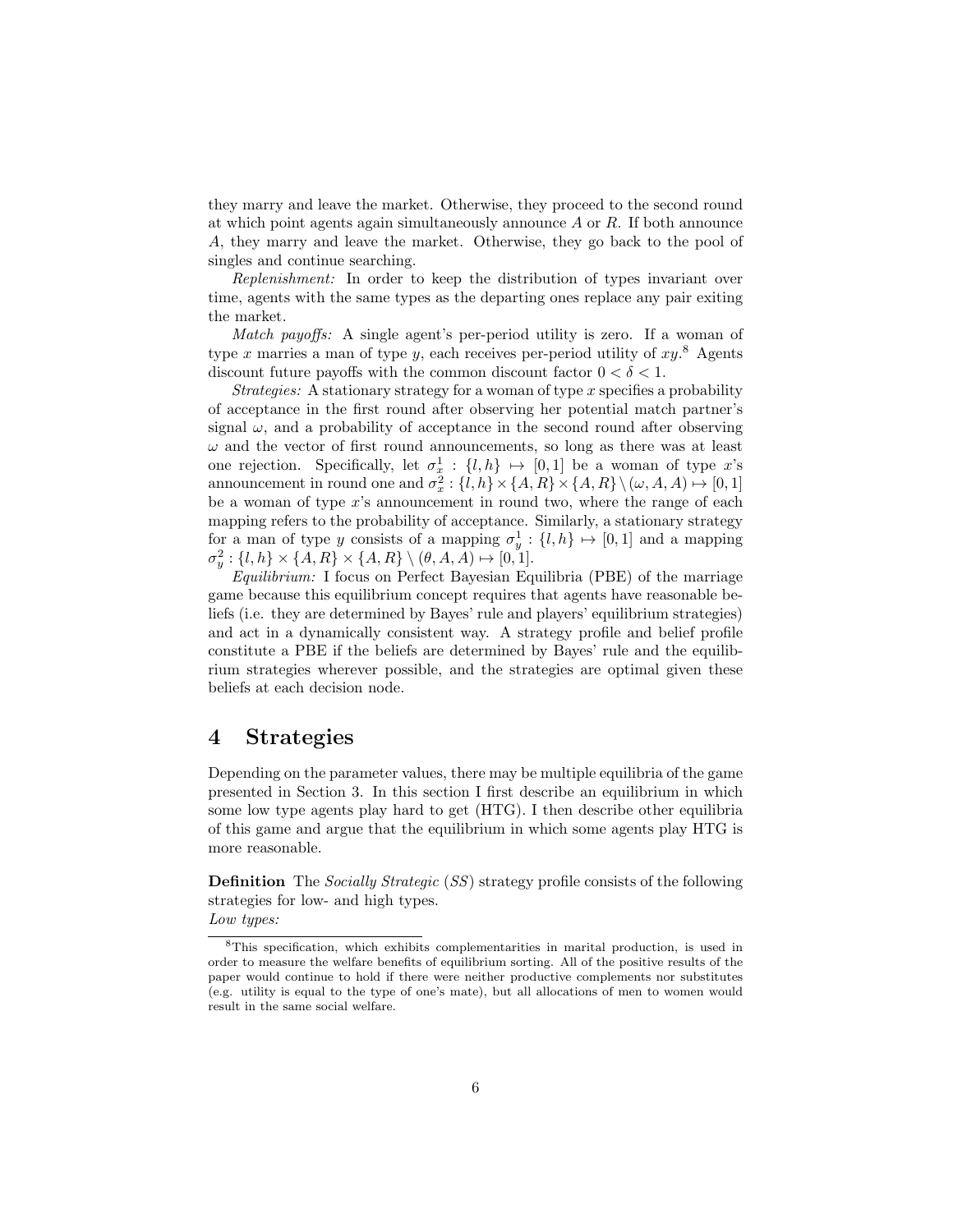they marry and leave the market. Otherwise, they proceed to the second round at which point agents again simultaneously announce  $A$  or  $R$ . If both announce A, they marry and leave the market. Otherwise, they go back to the pool of singles and continue searching.

Replenishment: In order to keep the distribution of types invariant over time, agents with the same types as the departing ones replace any pair exiting the market.

Match payoffs: A single agent's per-period utility is zero. If a woman of type x marries a man of type y, each receives per-period utility of  $xy$ .<sup>8</sup> Agents discount future payoffs with the common discount factor  $0 < \delta < 1$ .

Strategies: A stationary strategy for a woman of type x specifies a probability of acceptance in the first round after observing her potential match partner's signal  $\omega$ , and a probability of acceptance in the second round after observing  $\omega$  and the vector of first round announcements, so long as there was at least one rejection. Specifically, let  $\sigma_x^1$  :  $\{l, h\} \mapsto [0, 1]$  be a woman of type x's announcement in round one and  $\sigma_x^2$ :  $\{l, h\} \times \{A, R\} \times \{A, R\} \setminus (\omega, A, A) \mapsto [0, 1]$ be a woman of type x's announcement in round two, where the range of each mapping refers to the probability of acceptance. Similarly, a stationary strategy for a man of type y consists of a mapping  $\sigma_y^1: \{l, h\} \mapsto [0, 1]$  and a mapping  $\sigma_y^2: \{l, h\} \times \{A, R\} \times \{A, R\} \setminus (\theta, A, A) \mapsto [0, 1].$ 

Equilibrium: I focus on Perfect Bayesian Equilibria (PBE) of the marriage game because this equilibrium concept requires that agents have reasonable beliefs (i.e. they are determined by Bayes' rule and players' equilibrium strategies) and act in a dynamically consistent way. A strategy profile and belief profile constitute a PBE if the beliefs are determined by Bayes' rule and the equilibrium strategies wherever possible, and the strategies are optimal given these beliefs at each decision node.

## 4 Strategies

Depending on the parameter values, there may be multiple equilibria of the game presented in Section 3. In this section I first describe an equilibrium in which some low type agents play hard to get (HTG). I then describe other equilibria of this game and argue that the equilibrium in which some agents play HTG is more reasonable.

Definition The Socially Strategic (SS) strategy profile consists of the following strategies for low- and high types.

Low types:

<sup>8</sup>This specification, which exhibits complementarities in marital production, is used in order to measure the welfare benefits of equilibrium sorting. All of the positive results of the paper would continue to hold if there were neither productive complements nor substitutes (e.g. utility is equal to the type of one's mate), but all allocations of men to women would result in the same social welfare.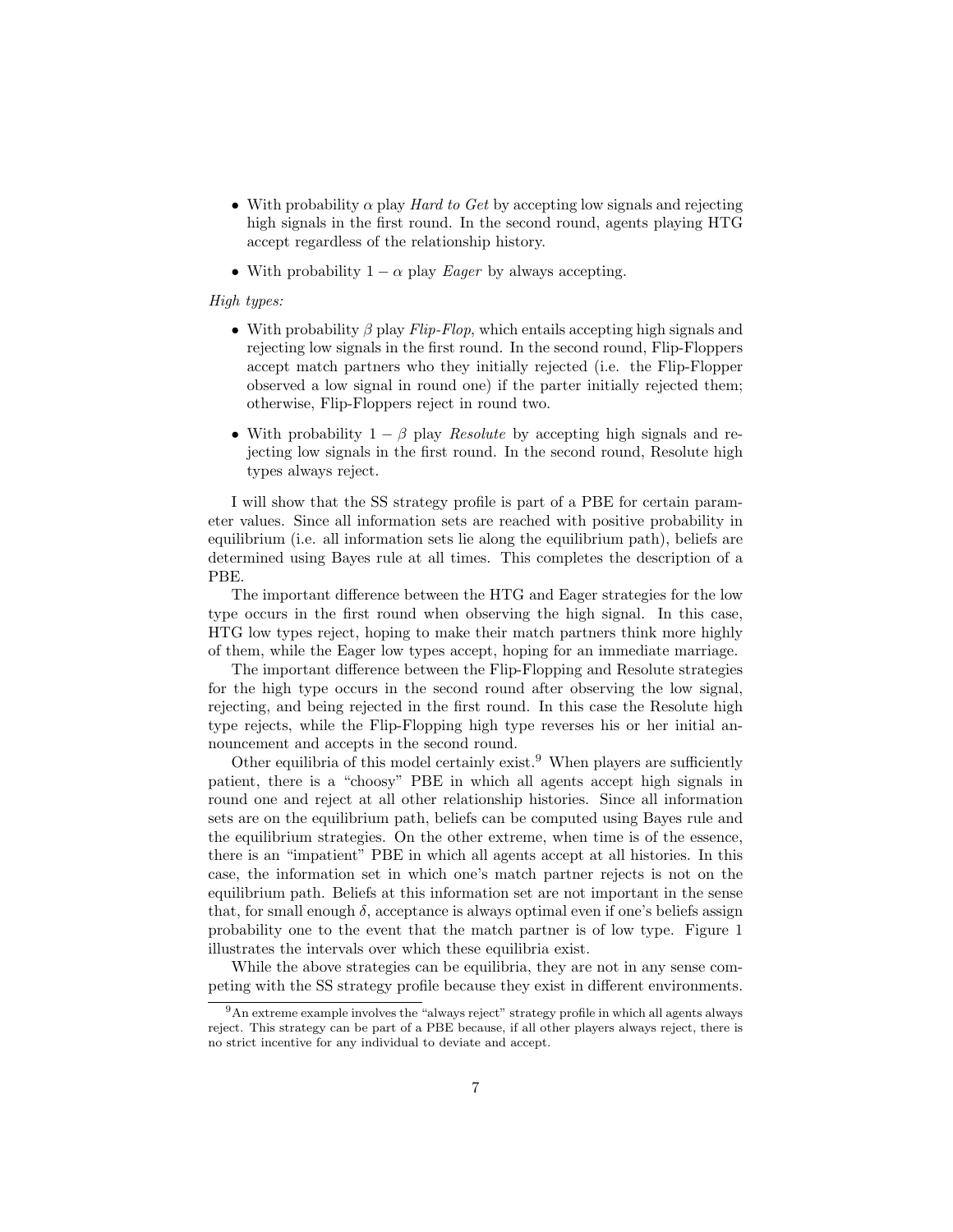- With probability  $\alpha$  play Hard to Get by accepting low signals and rejecting high signals in the first round. In the second round, agents playing HTG accept regardless of the relationship history.
- With probability  $1 \alpha$  play Eager by always accepting.

#### High types:

- With probability  $\beta$  play Flip-Flop, which entails accepting high signals and rejecting low signals in the first round. In the second round, Flip-Floppers accept match partners who they initially rejected (i.e. the Flip-Flopper observed a low signal in round one) if the parter initially rejected them; otherwise, Flip-Floppers reject in round two.
- With probability  $1 \beta$  play *Resolute* by accepting high signals and rejecting low signals in the first round. In the second round, Resolute high types always reject.

I will show that the SS strategy profile is part of a PBE for certain parameter values. Since all information sets are reached with positive probability in equilibrium (i.e. all information sets lie along the equilibrium path), beliefs are determined using Bayes rule at all times. This completes the description of a PBE.

The important difference between the HTG and Eager strategies for the low type occurs in the first round when observing the high signal. In this case, HTG low types reject, hoping to make their match partners think more highly of them, while the Eager low types accept, hoping for an immediate marriage.

The important difference between the Flip-Flopping and Resolute strategies for the high type occurs in the second round after observing the low signal, rejecting, and being rejected in the first round. In this case the Resolute high type rejects, while the Flip-Flopping high type reverses his or her initial announcement and accepts in the second round.

Other equilibria of this model certainly exist.<sup>9</sup> When players are sufficiently patient, there is a "choosy" PBE in which all agents accept high signals in round one and reject at all other relationship histories. Since all information sets are on the equilibrium path, beliefs can be computed using Bayes rule and the equilibrium strategies. On the other extreme, when time is of the essence, there is an "impatient" PBE in which all agents accept at all histories. In this case, the information set in which one's match partner rejects is not on the equilibrium path. Beliefs at this information set are not important in the sense that, for small enough  $\delta$ , acceptance is always optimal even if one's beliefs assign probability one to the event that the match partner is of low type. Figure 1 illustrates the intervals over which these equilibria exist.

While the above strategies can be equilibria, they are not in any sense competing with the SS strategy profile because they exist in different environments.

 $9 \text{ An extreme example involves the "always reject" strategy profile in which all agents always.}$ reject. This strategy can be part of a PBE because, if all other players always reject, there is no strict incentive for any individual to deviate and accept.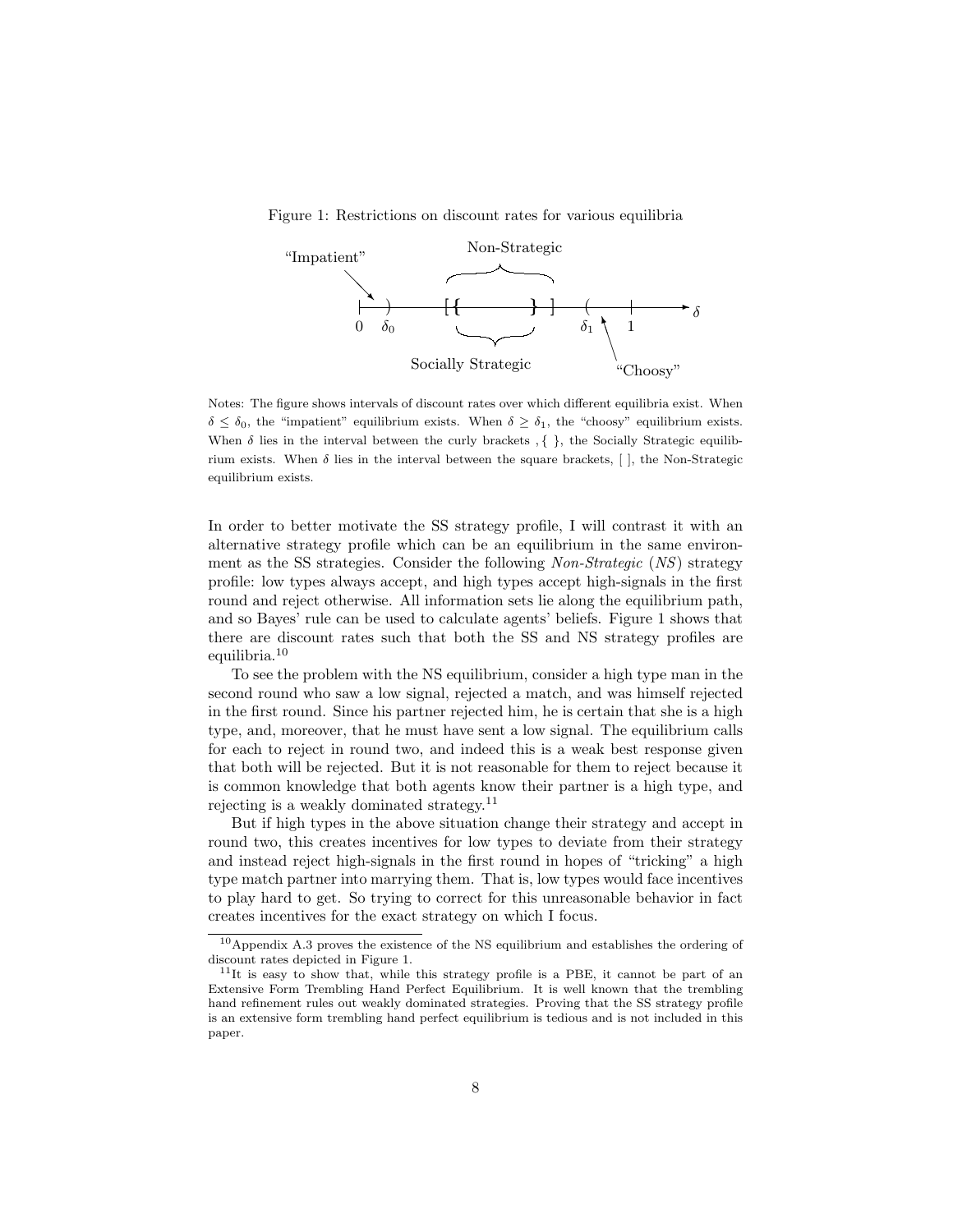Figure 1: Restrictions on discount rates for various equilibria



Notes: The figure shows intervals of discount rates over which different equilibria exist. When  $\delta \leq \delta_0$ , the "impatient" equilibrium exists. When  $\delta \geq \delta_1$ , the "choosy" equilibrium exists. When  $\delta$  lies in the interval between the curly brackets  $\{\}$ , the Socially Strategic equilibrium exists. When  $\delta$  lies in the interval between the square brackets,  $\lceil \cdot \rceil$ , the Non-Strategic equilibrium exists.

In order to better motivate the SS strategy profile, I will contrast it with an alternative strategy profile which can be an equilibrium in the same environment as the SS strategies. Consider the following Non-Strategic (NS) strategy profile: low types always accept, and high types accept high-signals in the first round and reject otherwise. All information sets lie along the equilibrium path, and so Bayes' rule can be used to calculate agents' beliefs. Figure 1 shows that there are discount rates such that both the SS and NS strategy profiles are equilibria.<sup>10</sup>

To see the problem with the NS equilibrium, consider a high type man in the second round who saw a low signal, rejected a match, and was himself rejected in the first round. Since his partner rejected him, he is certain that she is a high type, and, moreover, that he must have sent a low signal. The equilibrium calls for each to reject in round two, and indeed this is a weak best response given that both will be rejected. But it is not reasonable for them to reject because it is common knowledge that both agents know their partner is a high type, and rejecting is a weakly dominated strategy.<sup>11</sup>

But if high types in the above situation change their strategy and accept in round two, this creates incentives for low types to deviate from their strategy and instead reject high-signals in the first round in hopes of "tricking" a high type match partner into marrying them. That is, low types would face incentives to play hard to get. So trying to correct for this unreasonable behavior in fact creates incentives for the exact strategy on which I focus.

<sup>&</sup>lt;sup>10</sup>Appendix A.3 proves the existence of the NS equilibrium and establishes the ordering of discount rates depicted in Figure 1.

 $11$ It is easy to show that, while this strategy profile is a PBE, it cannot be part of an Extensive Form Trembling Hand Perfect Equilibrium. It is well known that the trembling hand refinement rules out weakly dominated strategies. Proving that the SS strategy profile is an extensive form trembling hand perfect equilibrium is tedious and is not included in this paper.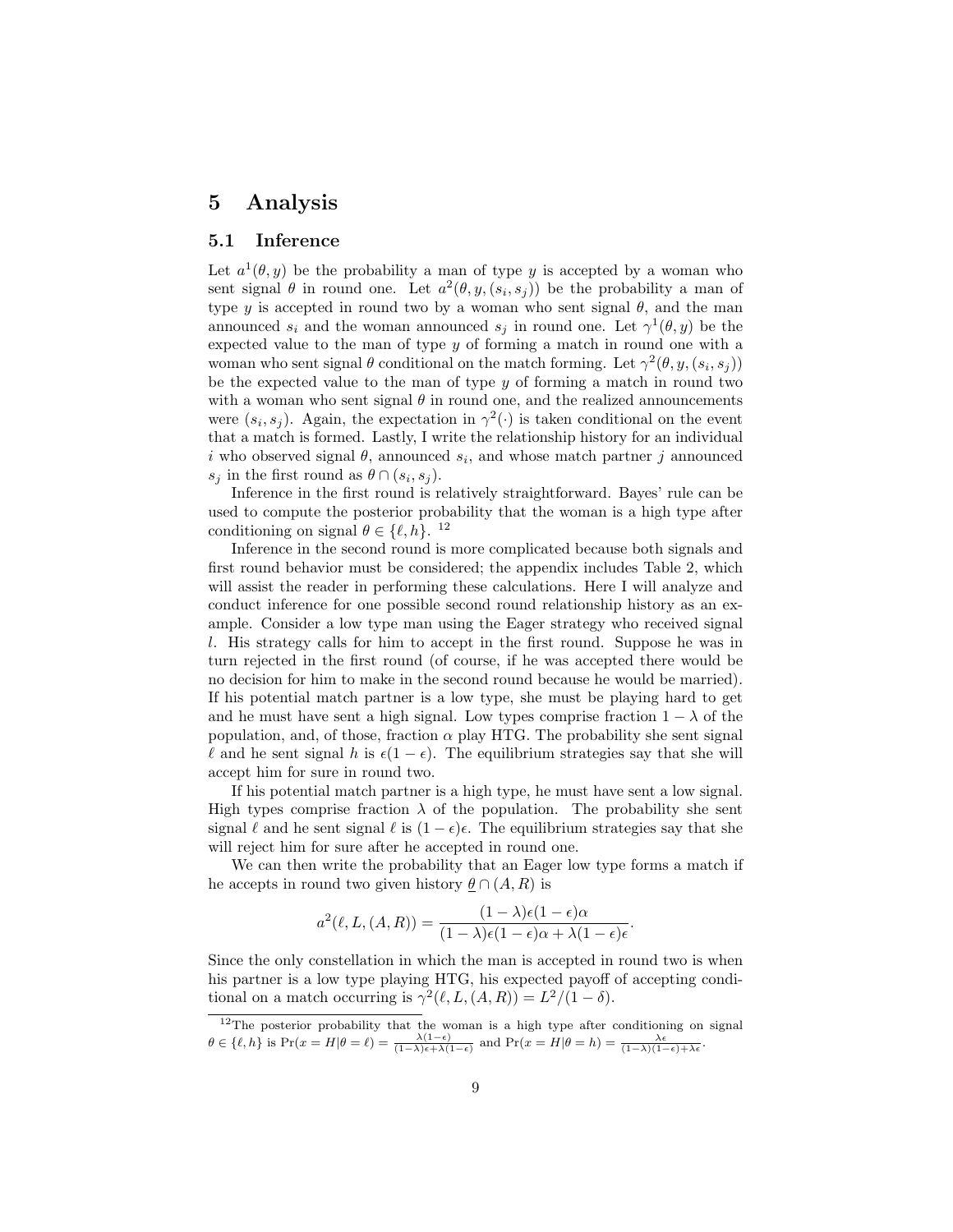### 5 Analysis

### 5.1 Inference

Let  $a^1(\theta, y)$  be the probability a man of type y is accepted by a woman who sent signal  $\theta$  in round one. Let  $a^2(\theta, y, (s_i, s_j))$  be the probability a man of type y is accepted in round two by a woman who sent signal  $\theta$ , and the man announced  $s_i$  and the woman announced  $s_j$  in round one. Let  $\gamma^1(\theta, y)$  be the expected value to the man of type y of forming a match in round one with a woman who sent signal  $\theta$  conditional on the match forming. Let  $\gamma^2(\theta, y, (s_i, s_j))$ be the expected value to the man of type  $y$  of forming a match in round two with a woman who sent signal  $\theta$  in round one, and the realized announcements were  $(s_i, s_j)$ . Again, the expectation in  $\gamma^2(\cdot)$  is taken conditional on the event that a match is formed. Lastly, I write the relationship history for an individual i who observed signal  $\theta$ , announced  $s_i$ , and whose match partner j announced  $s_j$  in the first round as  $\theta \cap (s_i, s_j)$ .

Inference in the first round is relatively straightforward. Bayes' rule can be used to compute the posterior probability that the woman is a high type after conditioning on signal  $\theta \in \{\ell, h\}.$ <sup>12</sup>

Inference in the second round is more complicated because both signals and first round behavior must be considered; the appendix includes Table 2, which will assist the reader in performing these calculations. Here I will analyze and conduct inference for one possible second round relationship history as an example. Consider a low type man using the Eager strategy who received signal l. His strategy calls for him to accept in the first round. Suppose he was in turn rejected in the first round (of course, if he was accepted there would be no decision for him to make in the second round because he would be married). If his potential match partner is a low type, she must be playing hard to get and he must have sent a high signal. Low types comprise fraction  $1 - \lambda$  of the population, and, of those, fraction  $\alpha$  play HTG. The probability she sent signal  $\ell$  and he sent signal h is  $\epsilon(1 - \epsilon)$ . The equilibrium strategies say that she will accept him for sure in round two.

If his potential match partner is a high type, he must have sent a low signal. High types comprise fraction  $\lambda$  of the population. The probability she sent signal  $\ell$  and he sent signal  $\ell$  is  $(1 - \epsilon)\epsilon$ . The equilibrium strategies say that she will reject him for sure after he accepted in round one.

We can then write the probability that an Eager low type forms a match if he accepts in round two given history  $\theta \cap (A, R)$  is

$$
a^{2}(\ell, L, (A, R)) = \frac{(1 - \lambda)\epsilon(1 - \epsilon)\alpha}{(1 - \lambda)\epsilon(1 - \epsilon)\alpha + \lambda(1 - \epsilon)\epsilon}.
$$

Since the only constellation in which the man is accepted in round two is when his partner is a low type playing HTG, his expected payoff of accepting conditional on a match occurring is  $\gamma^2(\ell, L, (A, R)) = L^2/(1 - \delta)$ .

 $12$ The posterior probability that the woman is a high type after conditioning on signal  $\theta \in \{\ell, h\}$  is  $Pr(x = H | \theta = \ell) = \frac{\lambda(1-\epsilon)}{(1-\lambda)\epsilon + \lambda(1-\epsilon)}$  and  $Pr(x = H | \theta = h) = \frac{\lambda\epsilon}{(1-\lambda)(1-\epsilon) + \lambda\epsilon}$ .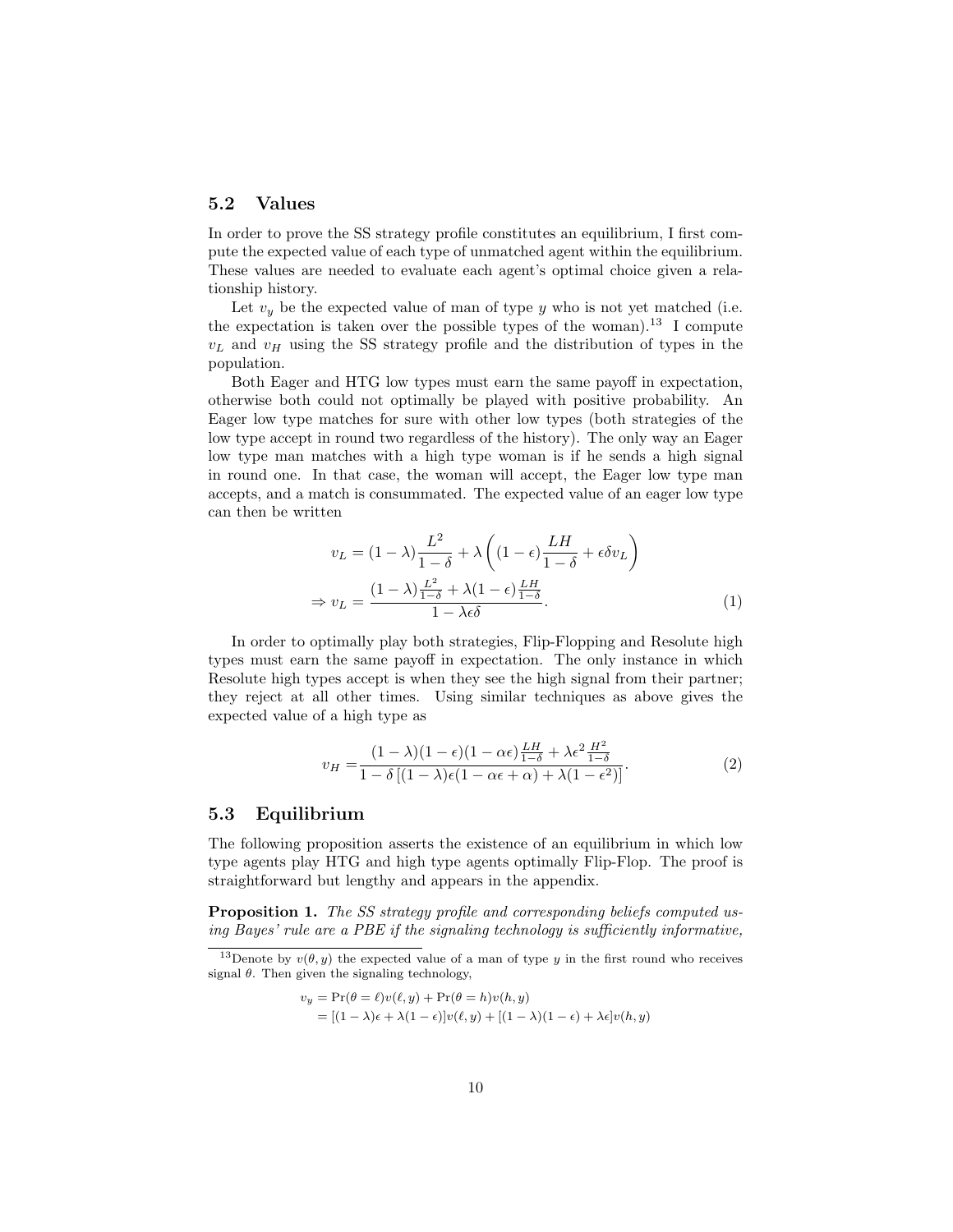### 5.2 Values

In order to prove the SS strategy profile constitutes an equilibrium, I first compute the expected value of each type of unmatched agent within the equilibrium. These values are needed to evaluate each agent's optimal choice given a relationship history.

Let  $v_y$  be the expected value of man of type y who is not yet matched (i.e. the expectation is taken over the possible types of the woman).<sup>13</sup> I compute  $v<sub>L</sub>$  and  $v<sub>H</sub>$  using the SS strategy profile and the distribution of types in the population.

Both Eager and HTG low types must earn the same payoff in expectation, otherwise both could not optimally be played with positive probability. An Eager low type matches for sure with other low types (both strategies of the low type accept in round two regardless of the history). The only way an Eager low type man matches with a high type woman is if he sends a high signal in round one. In that case, the woman will accept, the Eager low type man accepts, and a match is consummated. The expected value of an eager low type can then be written

$$
v_L = (1 - \lambda) \frac{L^2}{1 - \delta} + \lambda \left( (1 - \epsilon) \frac{LH}{1 - \delta} + \epsilon \delta v_L \right)
$$

$$
\Rightarrow v_L = \frac{(1 - \lambda) \frac{L^2}{1 - \delta} + \lambda (1 - \epsilon) \frac{LH}{1 - \delta}}{1 - \lambda \epsilon \delta}.
$$
(1)

In order to optimally play both strategies, Flip-Flopping and Resolute high types must earn the same payoff in expectation. The only instance in which Resolute high types accept is when they see the high signal from their partner; they reject at all other times. Using similar techniques as above gives the expected value of a high type as

$$
v_H = \frac{(1 - \lambda)(1 - \epsilon)(1 - \alpha\epsilon)\frac{LH}{1 - \delta} + \lambda\epsilon^2 \frac{H^2}{1 - \delta}}{1 - \delta\left[(1 - \lambda)\epsilon(1 - \alpha\epsilon + \alpha) + \lambda(1 - \epsilon^2)\right]}.
$$
(2)

#### 5.3 Equilibrium

The following proposition asserts the existence of an equilibrium in which low type agents play HTG and high type agents optimally Flip-Flop. The proof is straightforward but lengthy and appears in the appendix.

Proposition 1. The SS strategy profile and corresponding beliefs computed using Bayes' rule are a PBE if the signaling technology is sufficiently informative,

$$
v_y = \Pr(\theta = \ell)v(\ell, y) + \Pr(\theta = h)v(h, y)
$$
  
= [(1 - \lambda)\epsilon + \lambda(1 - \epsilon)]v(\ell, y) + [(1 - \lambda)(1 - \epsilon) + \lambda\epsilon]v(h, y)

<sup>&</sup>lt;sup>13</sup>Denote by  $v(\theta, y)$  the expected value of a man of type y in the first round who receives signal  $\theta$ . Then given the signaling technology,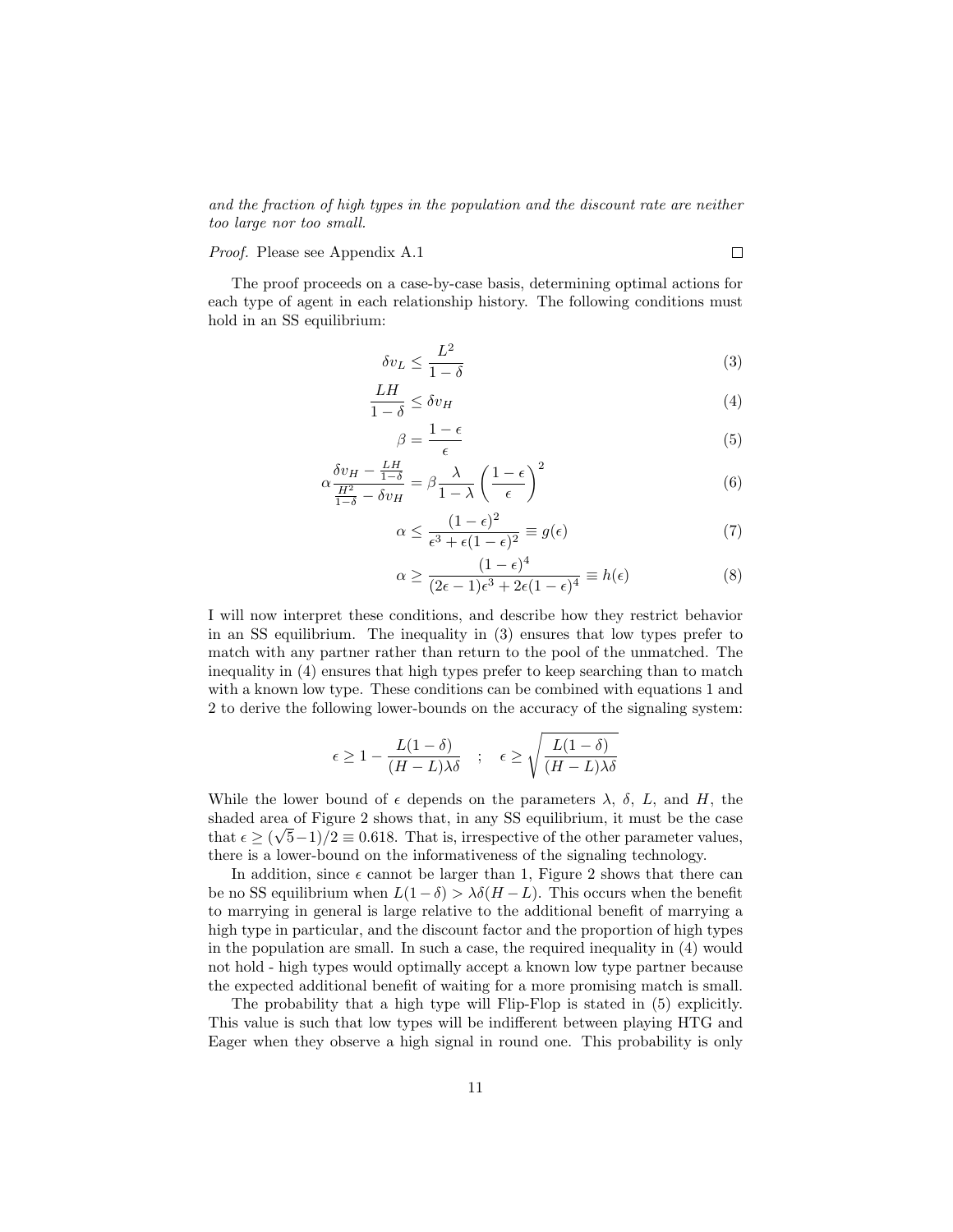and the fraction of high types in the population and the discount rate are neither too large nor too small.

#### Proof. Please see Appendix A.1

The proof proceeds on a case-by-case basis, determining optimal actions for each type of agent in each relationship history. The following conditions must hold in an SS equilibrium:

$$
\delta v_L \le \frac{L^2}{1-\delta} \tag{3}
$$

$$
\frac{LH}{1-\delta} \le \delta v_H \tag{4}
$$

$$
\beta = \frac{1 - \epsilon}{\epsilon} \tag{5}
$$

$$
\alpha \frac{\delta v_H - \frac{LH}{1-\delta}}{\frac{H^2}{1-\delta} - \delta v_H} = \beta \frac{\lambda}{1-\lambda} \left(\frac{1-\epsilon}{\epsilon}\right)^2 \tag{6}
$$

$$
\alpha \le \frac{(1 - \epsilon)^2}{\epsilon^3 + \epsilon (1 - \epsilon)^2} \equiv g(\epsilon) \tag{7}
$$

$$
\alpha \ge \frac{(1 - \epsilon)^4}{(2\epsilon - 1)\epsilon^3 + 2\epsilon(1 - \epsilon)^4} \equiv h(\epsilon)
$$
 (8)

I will now interpret these conditions, and describe how they restrict behavior in an SS equilibrium. The inequality in (3) ensures that low types prefer to match with any partner rather than return to the pool of the unmatched. The inequality in (4) ensures that high types prefer to keep searching than to match with a known low type. These conditions can be combined with equations 1 and 2 to derive the following lower-bounds on the accuracy of the signaling system:

$$
\epsilon \geq 1 - \frac{L(1-\delta)}{(H-L)\lambda\delta} \quad ; \quad \epsilon \geq \sqrt{\frac{L(1-\delta)}{(H-L)\lambda\delta}}
$$

While the lower bound of  $\epsilon$  depends on the parameters  $\lambda$ ,  $\delta$ , L, and H, the shaded area of Figure 2 shows that, in any SS equilibrium, it must be the case that  $\epsilon \ge (\sqrt{5}-1)/2 \equiv 0.618$ . That is, irrespective of the other parameter values, there is a lower-bound on the informativeness of the signaling technology.

In addition, since  $\epsilon$  cannot be larger than 1, Figure 2 shows that there can be no SS equilibrium when  $L(1-\delta) > \lambda \delta(H-L)$ . This occurs when the benefit to marrying in general is large relative to the additional benefit of marrying a high type in particular, and the discount factor and the proportion of high types in the population are small. In such a case, the required inequality in (4) would not hold - high types would optimally accept a known low type partner because the expected additional benefit of waiting for a more promising match is small.

The probability that a high type will Flip-Flop is stated in (5) explicitly. This value is such that low types will be indifferent between playing HTG and Eager when they observe a high signal in round one. This probability is only

 $\Box$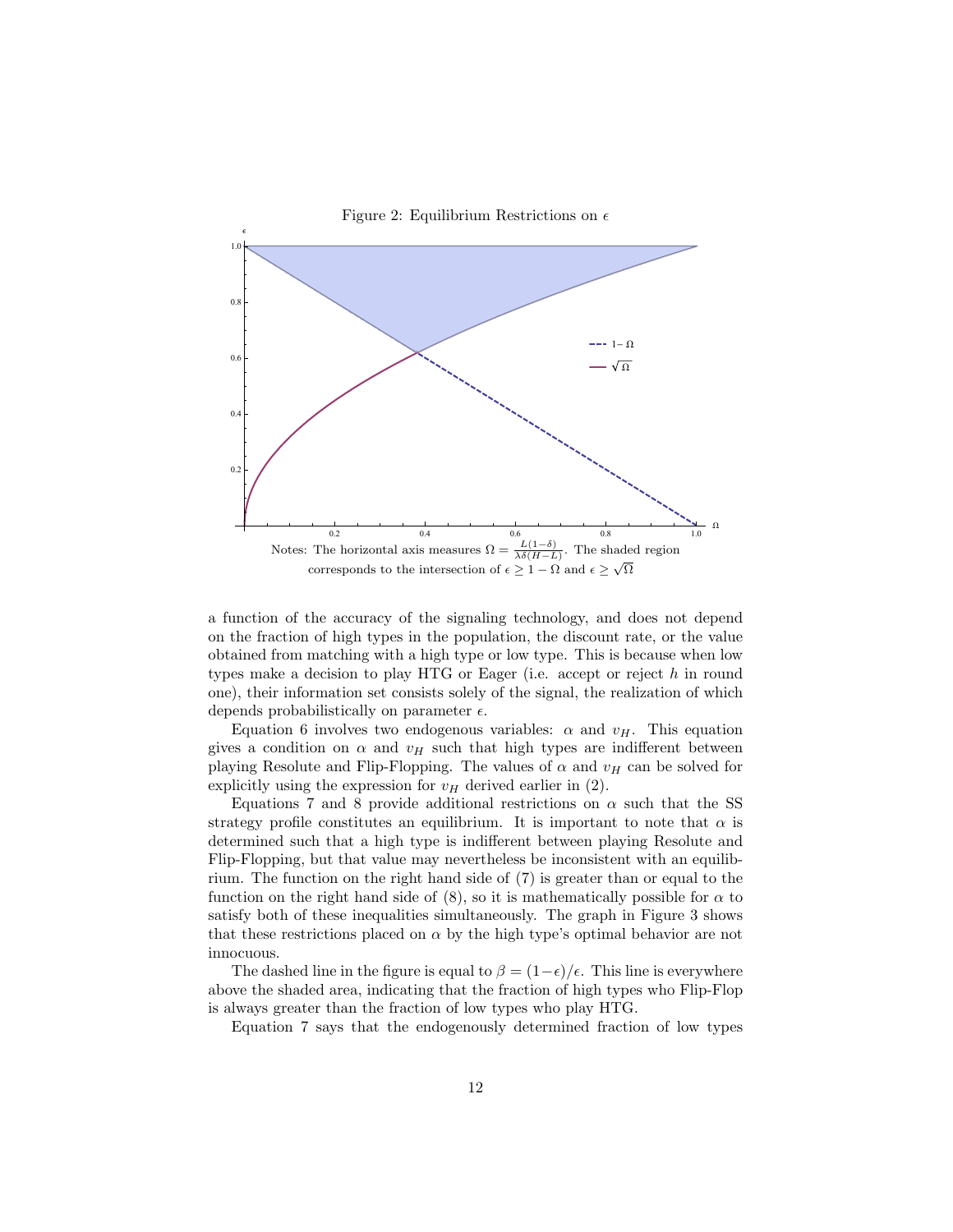

a function of the accuracy of the signaling technology, and does not depend on the fraction of high types in the population, the discount rate, or the value obtained from matching with a high type or low type. This is because when low types make a decision to play HTG or Eager (i.e. accept or reject  $h$  in round one), their information set consists solely of the signal, the realization of which depends probabilistically on parameter  $\epsilon$ .

Equation 6 involves two endogenous variables:  $\alpha$  and  $v_H$ . This equation gives a condition on  $\alpha$  and  $v_H$  such that high types are indifferent between playing Resolute and Flip-Flopping. The values of  $\alpha$  and  $v_H$  can be solved for explicitly using the expression for  $v_H$  derived earlier in (2).

Equations 7 and 8 provide additional restrictions on  $\alpha$  such that the SS strategy profile constitutes an equilibrium. It is important to note that  $\alpha$  is determined such that a high type is indifferent between playing Resolute and Flip-Flopping, but that value may nevertheless be inconsistent with an equilibrium. The function on the right hand side of (7) is greater than or equal to the function on the right hand side of (8), so it is mathematically possible for  $\alpha$  to satisfy both of these inequalities simultaneously. The graph in Figure 3 shows that these restrictions placed on  $\alpha$  by the high type's optimal behavior are not innocuous.

The dashed line in the figure is equal to  $\beta = (1-\epsilon)/\epsilon$ . This line is everywhere above the shaded area, indicating that the fraction of high types who Flip-Flop is always greater than the fraction of low types who play HTG.

Equation 7 says that the endogenously determined fraction of low types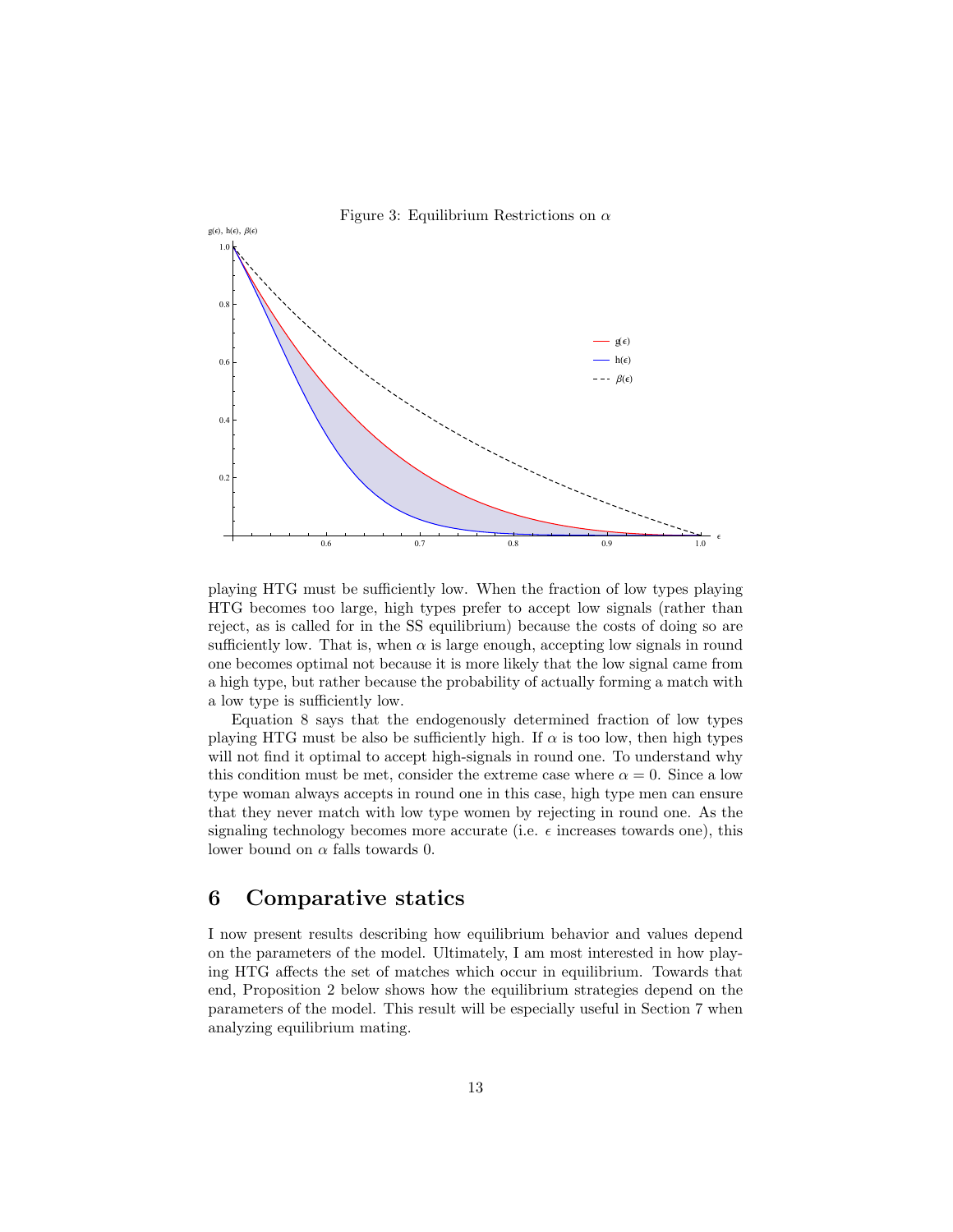

playing HTG must be sufficiently low. When the fraction of low types playing HTG becomes too large, high types prefer to accept low signals (rather than reject, as is called for in the SS equilibrium) because the costs of doing so are sufficiently low. That is, when  $\alpha$  is large enough, accepting low signals in round one becomes optimal not because it is more likely that the low signal came from a high type, but rather because the probability of actually forming a match with a low type is sufficiently low.

Equation 8 says that the endogenously determined fraction of low types playing HTG must be also be sufficiently high. If  $\alpha$  is too low, then high types will not find it optimal to accept high-signals in round one. To understand why this condition must be met, consider the extreme case where  $\alpha = 0$ . Since a low type woman always accepts in round one in this case, high type men can ensure that they never match with low type women by rejecting in round one. As the signaling technology becomes more accurate (i.e.  $\epsilon$  increases towards one), this lower bound on  $\alpha$  falls towards 0.

# 6 Comparative statics

I now present results describing how equilibrium behavior and values depend on the parameters of the model. Ultimately, I am most interested in how playing HTG affects the set of matches which occur in equilibrium. Towards that end, Proposition 2 below shows how the equilibrium strategies depend on the parameters of the model. This result will be especially useful in Section 7 when analyzing equilibrium mating.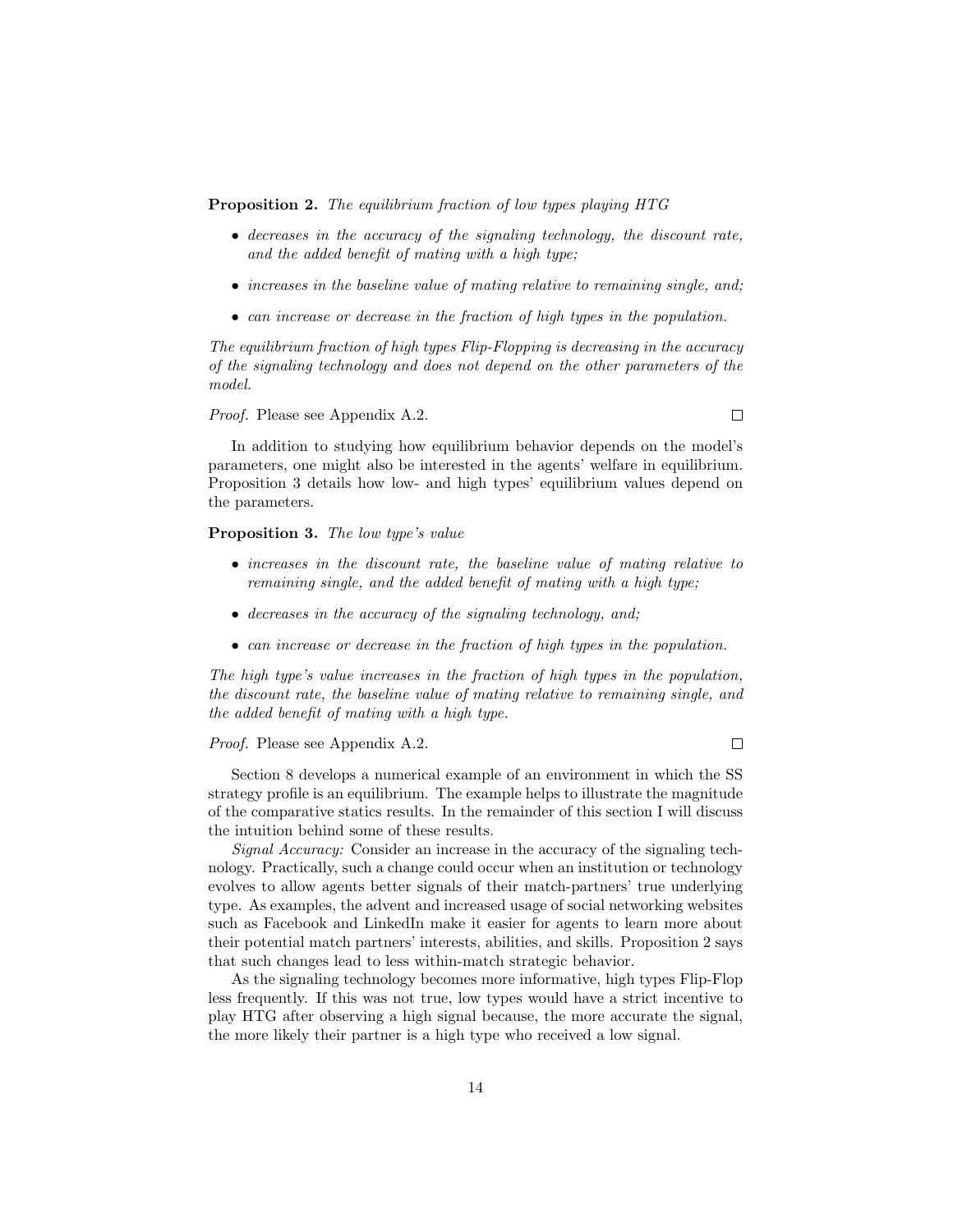Proposition 2. The equilibrium fraction of low types playing HTG

- decreases in the accuracy of the signaling technology, the discount rate, and the added benefit of mating with a high type;
- increases in the baseline value of mating relative to remaining single, and;
- can increase or decrease in the fraction of high types in the population.

The equilibrium fraction of high types Flip-Flopping is decreasing in the accuracy of the signaling technology and does not depend on the other parameters of the model.

Proof. Please see Appendix A.2.

In addition to studying how equilibrium behavior depends on the model's parameters, one might also be interested in the agents' welfare in equilibrium. Proposition 3 details how low- and high types' equilibrium values depend on the parameters.

#### Proposition 3. The low type's value

- increases in the discount rate, the baseline value of mating relative to remaining single, and the added benefit of mating with a high type;
- decreases in the accuracy of the signaling technology, and;
- can increase or decrease in the fraction of high types in the population.

The high type's value increases in the fraction of high types in the population, the discount rate, the baseline value of mating relative to remaining single, and the added benefit of mating with a high type.

Proof. Please see Appendix A.2.

Section 8 develops a numerical example of an environment in which the SS strategy profile is an equilibrium. The example helps to illustrate the magnitude of the comparative statics results. In the remainder of this section I will discuss the intuition behind some of these results.

Signal Accuracy: Consider an increase in the accuracy of the signaling technology. Practically, such a change could occur when an institution or technology evolves to allow agents better signals of their match-partners' true underlying type. As examples, the advent and increased usage of social networking websites such as Facebook and LinkedIn make it easier for agents to learn more about their potential match partners' interests, abilities, and skills. Proposition 2 says that such changes lead to less within-match strategic behavior.

As the signaling technology becomes more informative, high types Flip-Flop less frequently. If this was not true, low types would have a strict incentive to play HTG after observing a high signal because, the more accurate the signal, the more likely their partner is a high type who received a low signal.

 $\Box$ 

 $\Box$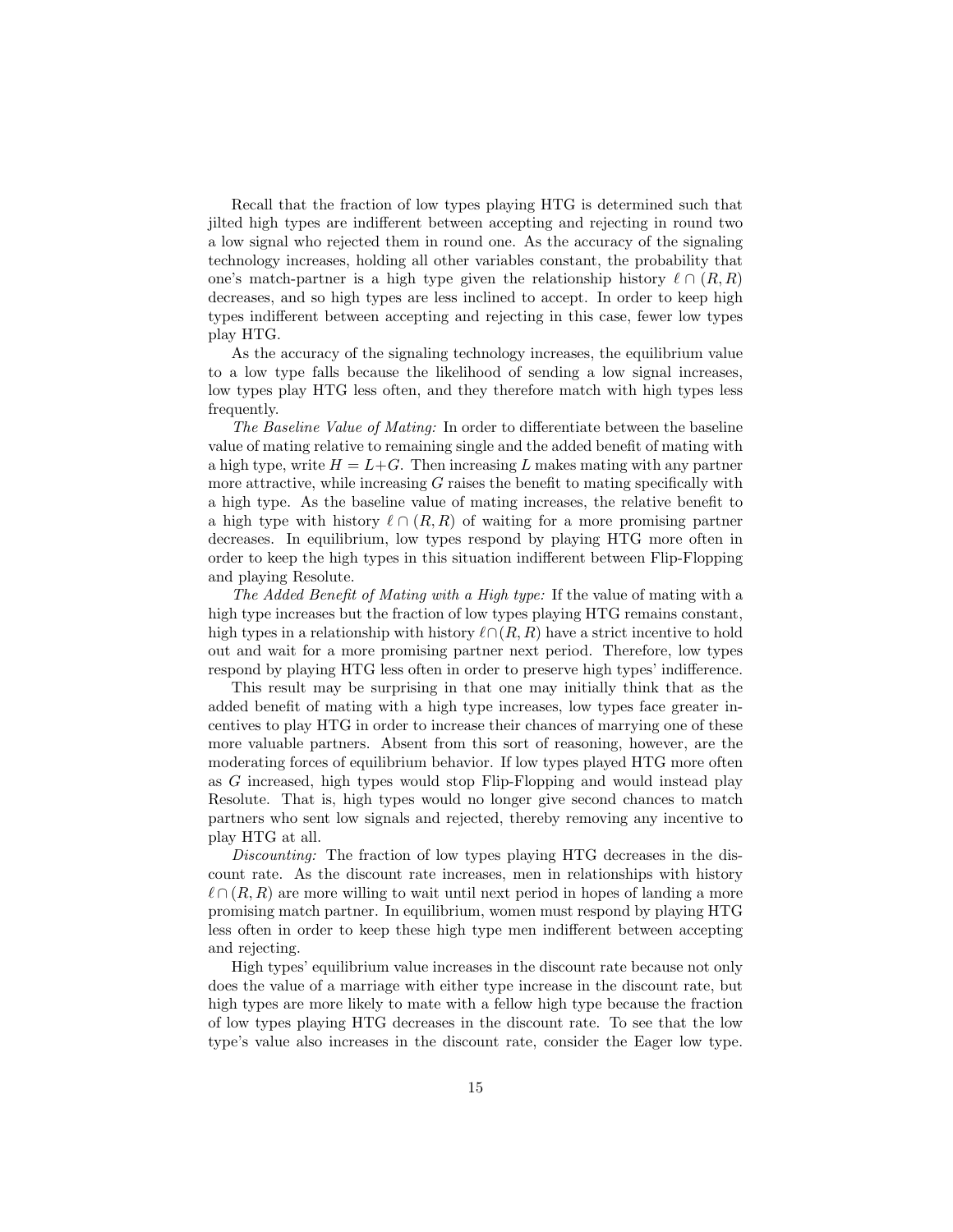Recall that the fraction of low types playing HTG is determined such that jilted high types are indifferent between accepting and rejecting in round two a low signal who rejected them in round one. As the accuracy of the signaling technology increases, holding all other variables constant, the probability that one's match-partner is a high type given the relationship history  $\ell \cap (R, R)$ decreases, and so high types are less inclined to accept. In order to keep high types indifferent between accepting and rejecting in this case, fewer low types play HTG.

As the accuracy of the signaling technology increases, the equilibrium value to a low type falls because the likelihood of sending a low signal increases, low types play HTG less often, and they therefore match with high types less frequently.

The Baseline Value of Mating: In order to differentiate between the baseline value of mating relative to remaining single and the added benefit of mating with a high type, write  $H = L + G$ . Then increasing L makes mating with any partner more attractive, while increasing  $G$  raises the benefit to mating specifically with a high type. As the baseline value of mating increases, the relative benefit to a high type with history  $\ell \cap (R, R)$  of waiting for a more promising partner decreases. In equilibrium, low types respond by playing HTG more often in order to keep the high types in this situation indifferent between Flip-Flopping and playing Resolute.

The Added Benefit of Mating with a High type: If the value of mating with a high type increases but the fraction of low types playing HTG remains constant, high types in a relationship with history  $\ell \cap (R, R)$  have a strict incentive to hold out and wait for a more promising partner next period. Therefore, low types respond by playing HTG less often in order to preserve high types' indifference.

This result may be surprising in that one may initially think that as the added benefit of mating with a high type increases, low types face greater incentives to play HTG in order to increase their chances of marrying one of these more valuable partners. Absent from this sort of reasoning, however, are the moderating forces of equilibrium behavior. If low types played HTG more often as G increased, high types would stop Flip-Flopping and would instead play Resolute. That is, high types would no longer give second chances to match partners who sent low signals and rejected, thereby removing any incentive to play HTG at all.

Discounting: The fraction of low types playing HTG decreases in the discount rate. As the discount rate increases, men in relationships with history  $\ell \cap (R, R)$  are more willing to wait until next period in hopes of landing a more promising match partner. In equilibrium, women must respond by playing HTG less often in order to keep these high type men indifferent between accepting and rejecting.

High types' equilibrium value increases in the discount rate because not only does the value of a marriage with either type increase in the discount rate, but high types are more likely to mate with a fellow high type because the fraction of low types playing HTG decreases in the discount rate. To see that the low type's value also increases in the discount rate, consider the Eager low type.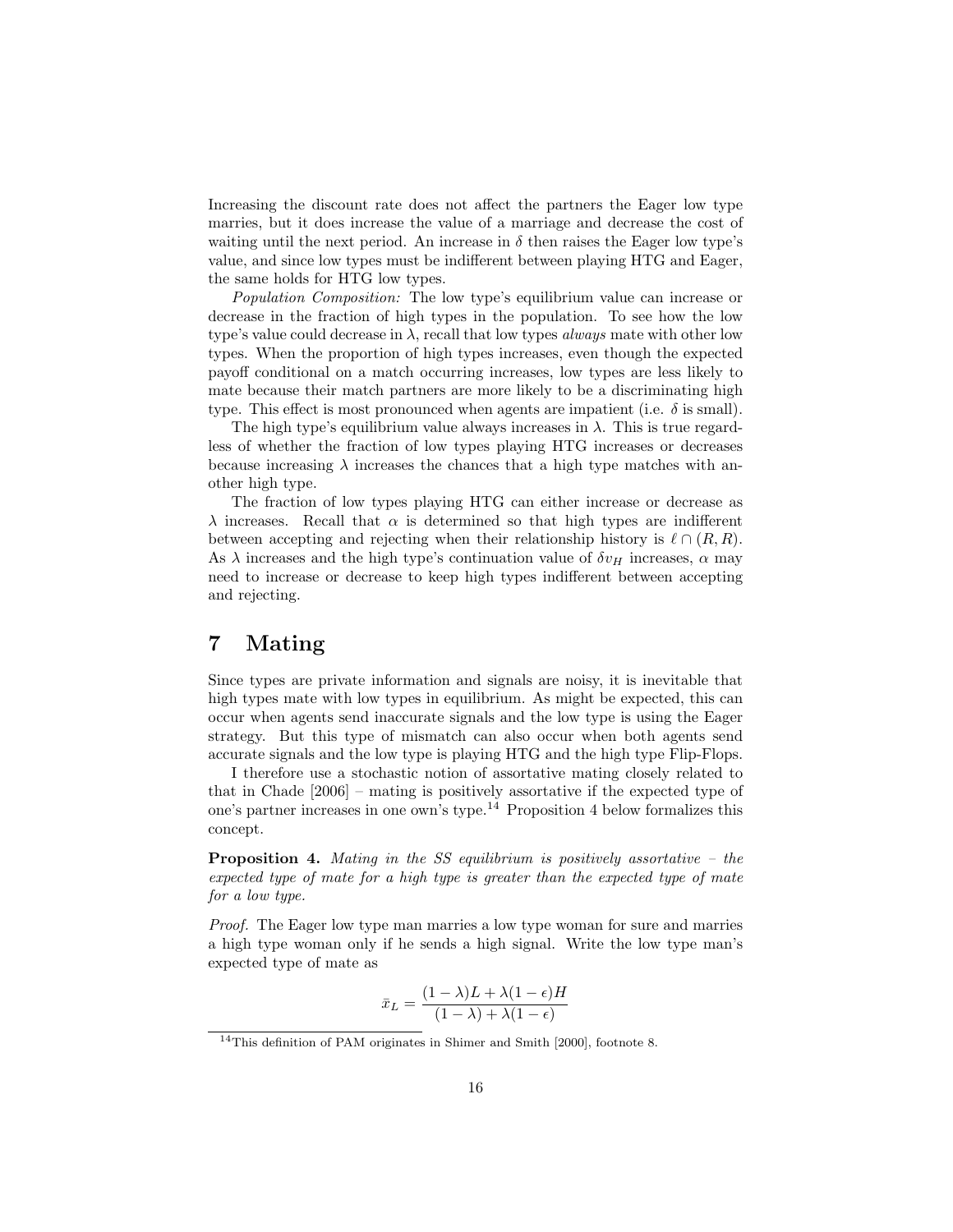Increasing the discount rate does not affect the partners the Eager low type marries, but it does increase the value of a marriage and decrease the cost of waiting until the next period. An increase in  $\delta$  then raises the Eager low type's value, and since low types must be indifferent between playing HTG and Eager, the same holds for HTG low types.

Population Composition: The low type's equilibrium value can increase or decrease in the fraction of high types in the population. To see how the low type's value could decrease in  $\lambda$ , recall that low types *always* mate with other low types. When the proportion of high types increases, even though the expected payoff conditional on a match occurring increases, low types are less likely to mate because their match partners are more likely to be a discriminating high type. This effect is most pronounced when agents are impatient (i.e.  $\delta$  is small).

The high type's equilibrium value always increases in  $\lambda$ . This is true regardless of whether the fraction of low types playing HTG increases or decreases because increasing  $\lambda$  increases the chances that a high type matches with another high type.

The fraction of low types playing HTG can either increase or decrease as  $\lambda$  increases. Recall that  $\alpha$  is determined so that high types are indifferent between accepting and rejecting when their relationship history is  $\ell \cap (R, R)$ . As  $\lambda$  increases and the high type's continuation value of  $\delta v_H$  increases,  $\alpha$  may need to increase or decrease to keep high types indifferent between accepting and rejecting.

# 7 Mating

Since types are private information and signals are noisy, it is inevitable that high types mate with low types in equilibrium. As might be expected, this can occur when agents send inaccurate signals and the low type is using the Eager strategy. But this type of mismatch can also occur when both agents send accurate signals and the low type is playing HTG and the high type Flip-Flops.

I therefore use a stochastic notion of assortative mating closely related to that in Chade [2006] – mating is positively assortative if the expected type of one's partner increases in one own's type.<sup>14</sup> Proposition 4 below formalizes this concept.

**Proposition 4.** Mating in the SS equilibrium is positively assortative – the expected type of mate for a high type is greater than the expected type of mate for a low type.

Proof. The Eager low type man marries a low type woman for sure and marries a high type woman only if he sends a high signal. Write the low type man's expected type of mate as

$$
\bar{x}_L = \frac{(1 - \lambda)L + \lambda(1 - \epsilon)H}{(1 - \lambda) + \lambda(1 - \epsilon)}
$$

<sup>14</sup>This definition of PAM originates in Shimer and Smith [2000], footnote 8.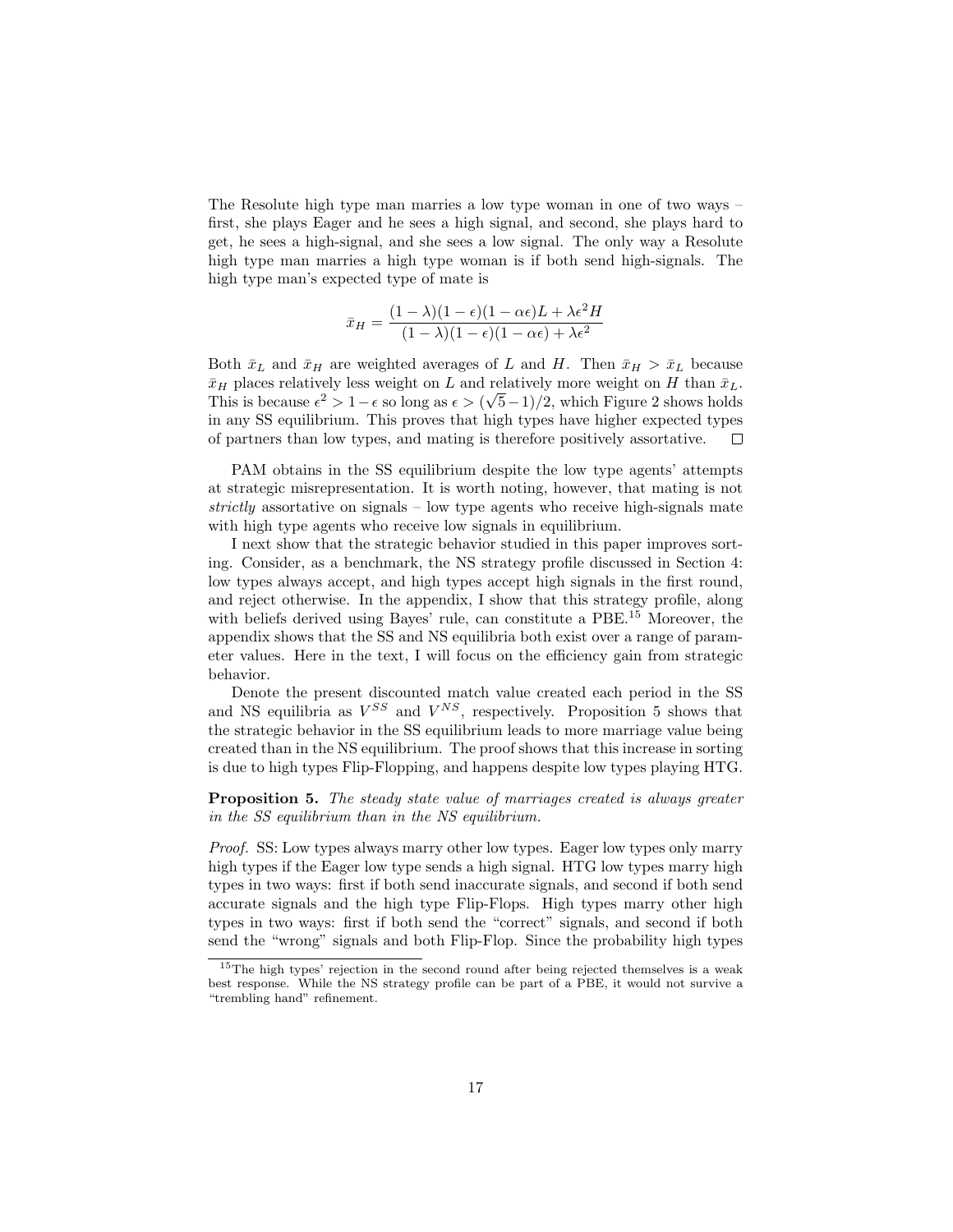The Resolute high type man marries a low type woman in one of two ways – first, she plays Eager and he sees a high signal, and second, she plays hard to get, he sees a high-signal, and she sees a low signal. The only way a Resolute high type man marries a high type woman is if both send high-signals. The high type man's expected type of mate is

$$
\bar{x}_H = \frac{(1 - \lambda)(1 - \epsilon)(1 - \alpha\epsilon)L + \lambda\epsilon^2 H}{(1 - \lambda)(1 - \epsilon)(1 - \alpha\epsilon) + \lambda\epsilon^2}
$$

Both  $\bar{x}_L$  and  $\bar{x}_H$  are weighted averages of L and H. Then  $\bar{x}_H > \bar{x}_L$  because  $\bar{x}_H$  places relatively less weight on L and relatively more weight on H than  $\bar{x}_L$ . This is because  $\epsilon^2 > 1 - \epsilon$  so long as  $\epsilon > (\sqrt{5}-1)/2$ , which Figure 2 shows holds in any SS equilibrium. This proves that high types have higher expected types of partners than low types, and mating is therefore positively assortative.  $\Box$ 

PAM obtains in the SS equilibrium despite the low type agents' attempts at strategic misrepresentation. It is worth noting, however, that mating is not strictly assortative on signals – low type agents who receive high-signals mate with high type agents who receive low signals in equilibrium.

I next show that the strategic behavior studied in this paper improves sorting. Consider, as a benchmark, the NS strategy profile discussed in Section 4: low types always accept, and high types accept high signals in the first round, and reject otherwise. In the appendix, I show that this strategy profile, along with beliefs derived using Bayes' rule, can constitute a PBE.<sup>15</sup> Moreover, the appendix shows that the SS and NS equilibria both exist over a range of parameter values. Here in the text, I will focus on the efficiency gain from strategic behavior.

Denote the present discounted match value created each period in the SS and NS equilibria as  $V^{SS}$  and  $V^{NS}$ , respectively. Proposition 5 shows that the strategic behavior in the SS equilibrium leads to more marriage value being created than in the NS equilibrium. The proof shows that this increase in sorting is due to high types Flip-Flopping, and happens despite low types playing HTG.

Proposition 5. The steady state value of marriages created is always greater in the SS equilibrium than in the NS equilibrium.

Proof. SS: Low types always marry other low types. Eager low types only marry high types if the Eager low type sends a high signal. HTG low types marry high types in two ways: first if both send inaccurate signals, and second if both send accurate signals and the high type Flip-Flops. High types marry other high types in two ways: first if both send the "correct" signals, and second if both send the "wrong" signals and both Flip-Flop. Since the probability high types

<sup>&</sup>lt;sup>15</sup>The high types' rejection in the second round after being rejected themselves is a weak best response. While the NS strategy profile can be part of a PBE, it would not survive a "trembling hand" refinement.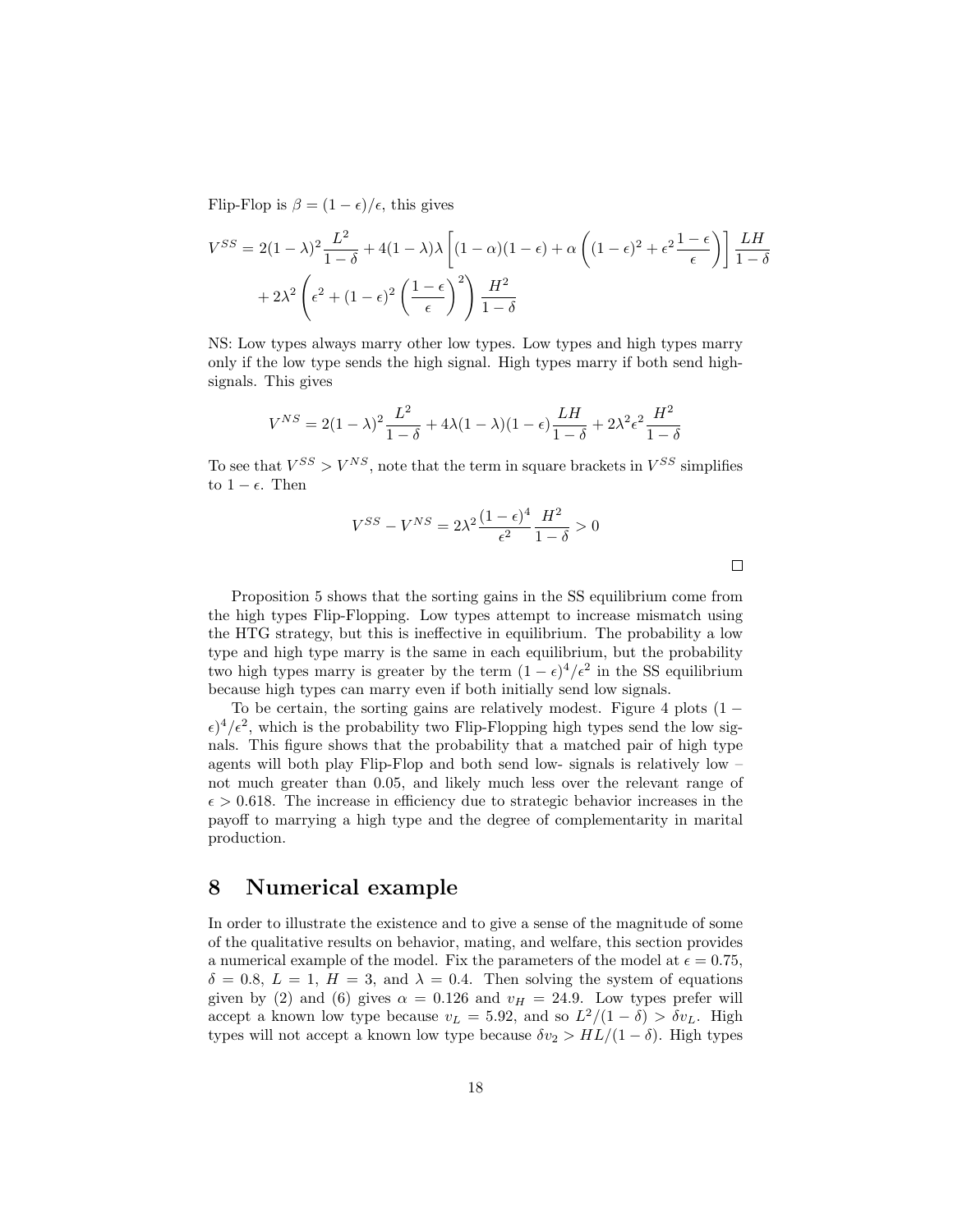Flip-Flop is  $\beta = (1 - \epsilon)/\epsilon$ , this gives

$$
V^{SS} = 2(1 - \lambda)^2 \frac{L^2}{1 - \delta} + 4(1 - \lambda)\lambda \left[ (1 - \alpha)(1 - \epsilon) + \alpha \left( (1 - \epsilon)^2 + \epsilon^2 \frac{1 - \epsilon}{\epsilon} \right) \right] \frac{LH}{1 - \delta}
$$

$$
+ 2\lambda^2 \left( \epsilon^2 + (1 - \epsilon)^2 \left( \frac{1 - \epsilon}{\epsilon} \right)^2 \right) \frac{H^2}{1 - \delta}
$$

NS: Low types always marry other low types. Low types and high types marry only if the low type sends the high signal. High types marry if both send highsignals. This gives

$$
V^{NS}=2(1-\lambda)^2\frac{L^2}{1-\delta}+4\lambda(1-\lambda)(1-\epsilon)\frac{LH}{1-\delta}+2\lambda^2\epsilon^2\frac{H^2}{1-\delta}
$$

To see that  $V^{SS} > V^{NS}$ , note that the term in square brackets in  $V^{SS}$  simplifies to  $1 - \epsilon$ . Then

$$
V^{SS} - V^{NS} = 2\lambda^2 \frac{(1 - \epsilon)^4}{\epsilon^2} \frac{H^2}{1 - \delta} > 0
$$

 $\Box$ 

Proposition 5 shows that the sorting gains in the SS equilibrium come from the high types Flip-Flopping. Low types attempt to increase mismatch using the HTG strategy, but this is ineffective in equilibrium. The probability a low type and high type marry is the same in each equilibrium, but the probability two high types marry is greater by the term  $(1 - \epsilon)^4 / \epsilon^2$  in the SS equilibrium because high types can marry even if both initially send low signals.

To be certain, the sorting gains are relatively modest. Figure 4 plots  $(1 \epsilon^{2}$ , which is the probability two Flip-Flopping high types send the low signals. This figure shows that the probability that a matched pair of high type agents will both play Flip-Flop and both send low- signals is relatively low – not much greater than 0.05, and likely much less over the relevant range of  $\epsilon > 0.618$ . The increase in efficiency due to strategic behavior increases in the payoff to marrying a high type and the degree of complementarity in marital production.

### 8 Numerical example

In order to illustrate the existence and to give a sense of the magnitude of some of the qualitative results on behavior, mating, and welfare, this section provides a numerical example of the model. Fix the parameters of the model at  $\epsilon = 0.75$ ,  $\delta = 0.8, L = 1, H = 3, \text{ and } \lambda = 0.4.$  Then solving the system of equations given by (2) and (6) gives  $\alpha = 0.126$  and  $v_H = 24.9$ . Low types prefer will accept a known low type because  $v_L = 5.92$ , and so  $L^2/(1 - \delta) > \delta v_L$ . High types will not accept a known low type because  $\delta v_2 > HL/(1 - \delta)$ . High types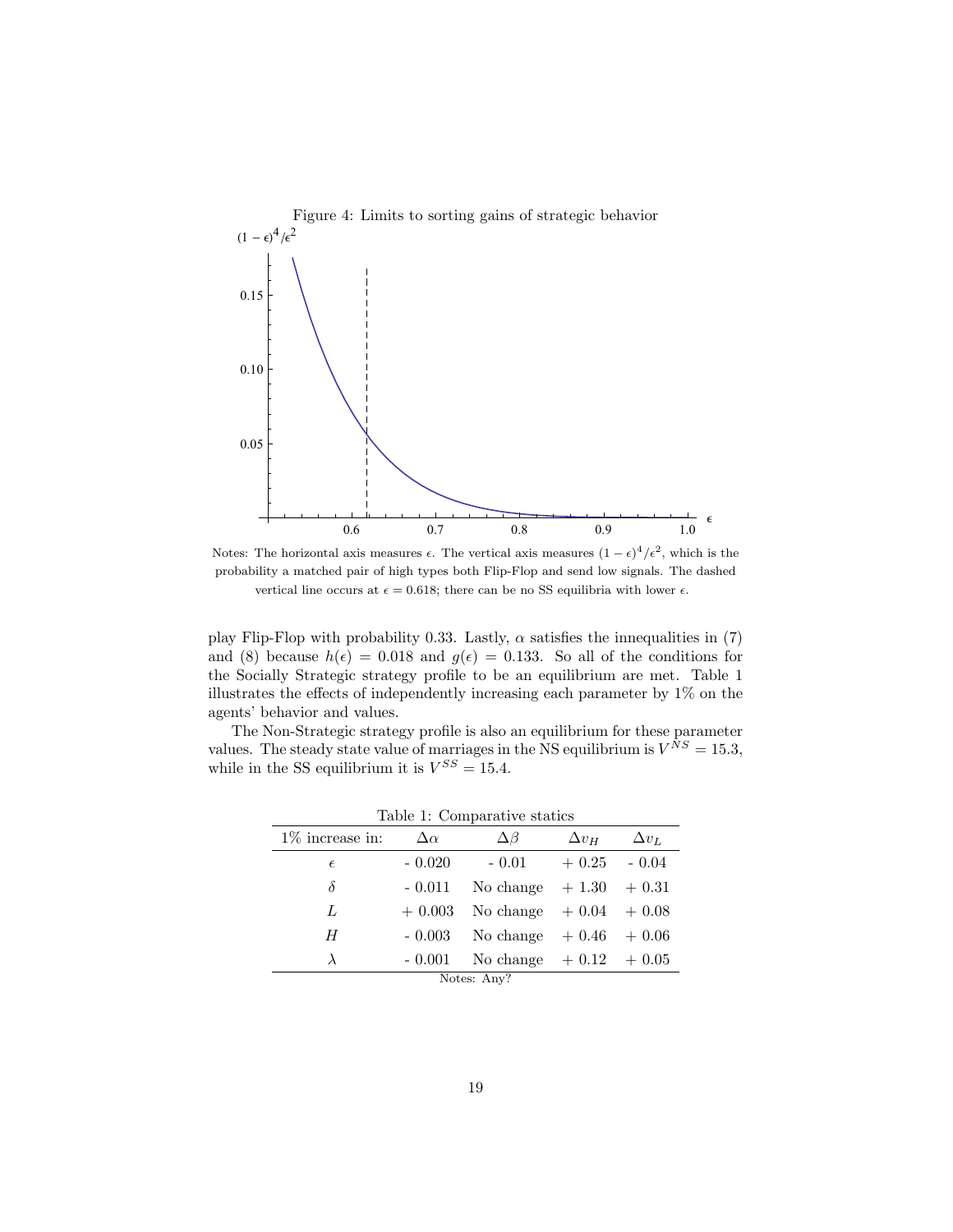

Notes: The horizontal axis measures  $\epsilon$ . The vertical axis measures  $(1-\epsilon)^4/\epsilon^2$ , which is the probability a matched pair of high types both Flip-Flop and send low signals. The dashed vertical line occurs at  $\epsilon = 0.618$ ; there can be no SS equilibria with lower  $\epsilon$ .

play Flip-Flop with probability 0.33. Lastly,  $\alpha$  satisfies the innequalities in (7) and (8) because  $h(\epsilon) = 0.018$  and  $g(\epsilon) = 0.133$ . So all of the conditions for the Socially Strategic strategy profile to be an equilibrium are met. Table 1 illustrates the effects of independently increasing each parameter by 1% on the agents' behavior and values.

The Non-Strategic strategy profile is also an equilibrium for these parameter values. The steady state value of marriages in the NS equilibrium is  $V^{NS} = 15.3$ , while in the SS equilibrium it is  $V^{SS} = 15.4$ .

| $1\%$ increase in: | $\Delta \alpha$ | $\Delta \beta$                     | $\Delta v_H$   | $\Delta v_L$ |  |  |  |
|--------------------|-----------------|------------------------------------|----------------|--------------|--|--|--|
| $\epsilon$         | $-0.020$        | $-0.01$                            | $+0.25 - 0.04$ |              |  |  |  |
| $\delta$           | $-0.011$        | No change $+1.30 + 0.31$           |                |              |  |  |  |
| L                  | $+0.003$        | No change $+0.04 + 0.08$           |                |              |  |  |  |
| H                  | $-0.003$        | No change $+0.46 + 0.06$           |                |              |  |  |  |
| $\lambda$          |                 | $-0.001$ No change $+0.12$ $+0.05$ |                |              |  |  |  |
| Notes: Any?        |                 |                                    |                |              |  |  |  |

Table 1: Comparative statics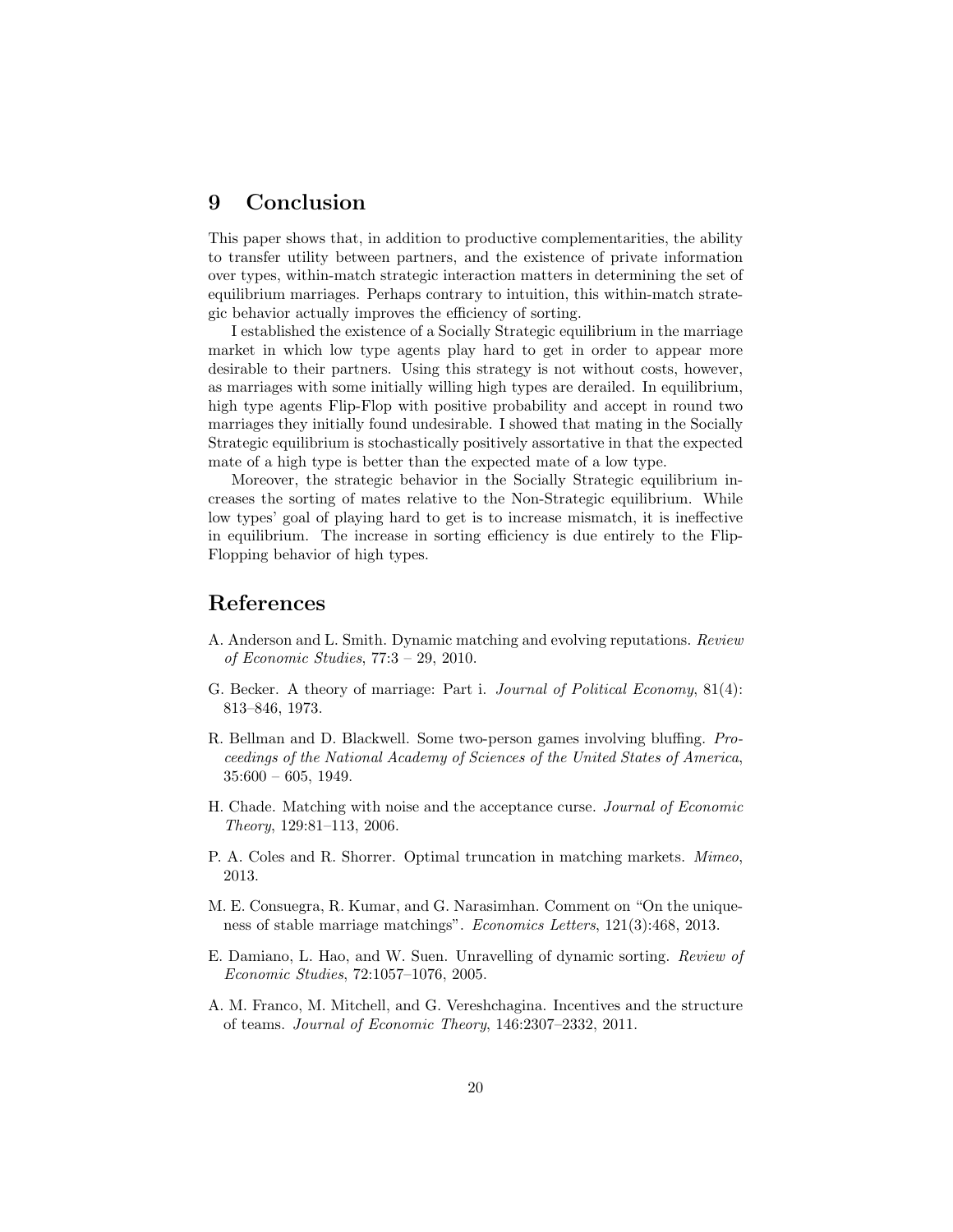### 9 Conclusion

This paper shows that, in addition to productive complementarities, the ability to transfer utility between partners, and the existence of private information over types, within-match strategic interaction matters in determining the set of equilibrium marriages. Perhaps contrary to intuition, this within-match strategic behavior actually improves the efficiency of sorting.

I established the existence of a Socially Strategic equilibrium in the marriage market in which low type agents play hard to get in order to appear more desirable to their partners. Using this strategy is not without costs, however, as marriages with some initially willing high types are derailed. In equilibrium, high type agents Flip-Flop with positive probability and accept in round two marriages they initially found undesirable. I showed that mating in the Socially Strategic equilibrium is stochastically positively assortative in that the expected mate of a high type is better than the expected mate of a low type.

Moreover, the strategic behavior in the Socially Strategic equilibrium increases the sorting of mates relative to the Non-Strategic equilibrium. While low types' goal of playing hard to get is to increase mismatch, it is ineffective in equilibrium. The increase in sorting efficiency is due entirely to the Flip-Flopping behavior of high types.

### References

- A. Anderson and L. Smith. Dynamic matching and evolving reputations. Review of Economic Studies, 77:3 – 29, 2010.
- G. Becker. A theory of marriage: Part i. Journal of Political Economy, 81(4): 813–846, 1973.
- R. Bellman and D. Blackwell. Some two-person games involving bluffing. Proceedings of the National Academy of Sciences of the United States of America,  $35:600 - 605$ , 1949.
- H. Chade. Matching with noise and the acceptance curse. Journal of Economic Theory, 129:81–113, 2006.
- P. A. Coles and R. Shorrer. Optimal truncation in matching markets. Mimeo, 2013.
- M. E. Consuegra, R. Kumar, and G. Narasimhan. Comment on "On the uniqueness of stable marriage matchings". Economics Letters, 121(3):468, 2013.
- E. Damiano, L. Hao, and W. Suen. Unravelling of dynamic sorting. Review of Economic Studies, 72:1057–1076, 2005.
- A. M. Franco, M. Mitchell, and G. Vereshchagina. Incentives and the structure of teams. Journal of Economic Theory, 146:2307–2332, 2011.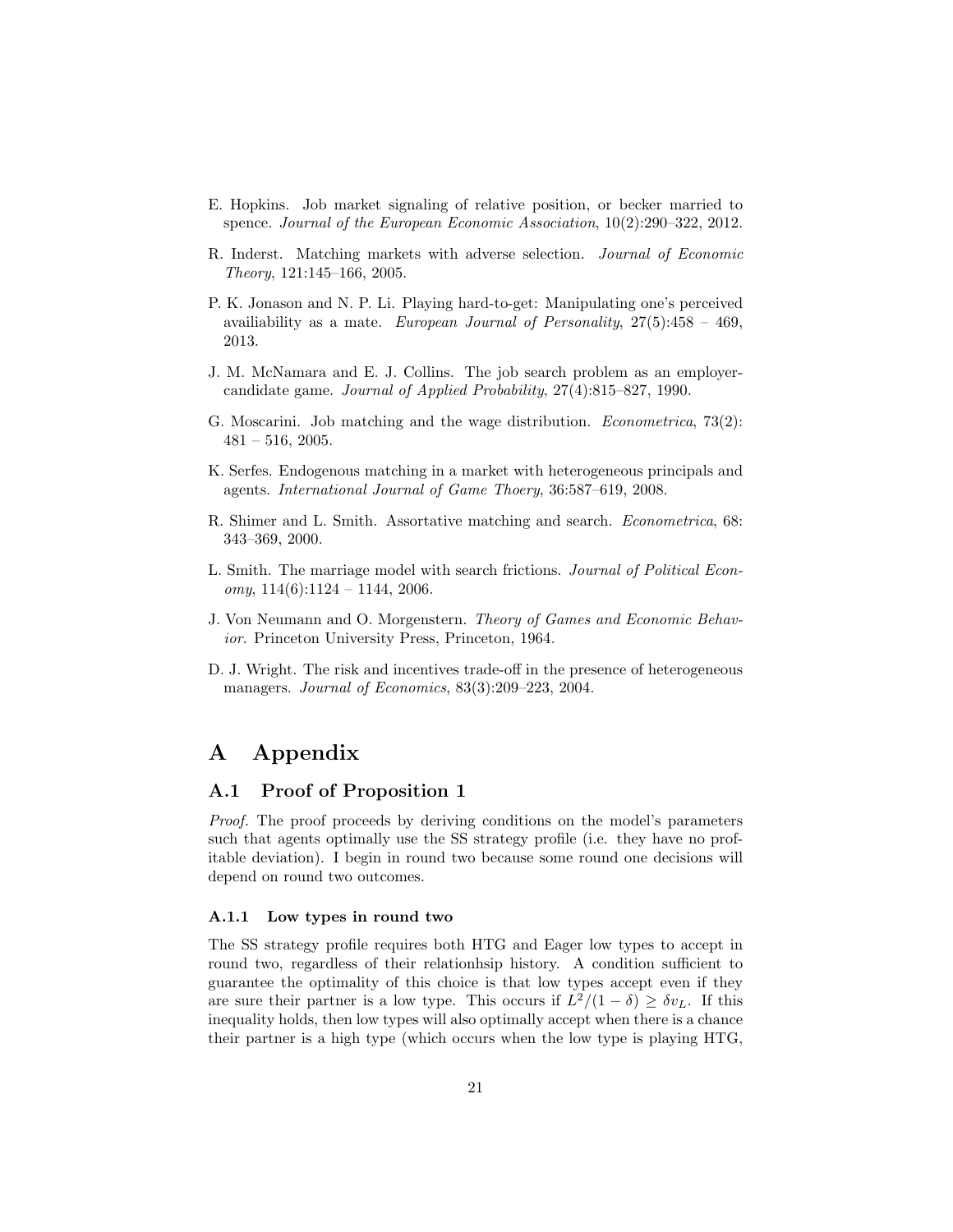- E. Hopkins. Job market signaling of relative position, or becker married to spence. Journal of the European Economic Association,  $10(2):290-322$ ,  $2012$ .
- R. Inderst. Matching markets with adverse selection. Journal of Economic Theory, 121:145–166, 2005.
- P. K. Jonason and N. P. Li. Playing hard-to-get: Manipulating one's perceived availiability as a mate. European Journal of Personality,  $27(5):458 - 469$ , 2013.
- J. M. McNamara and E. J. Collins. The job search problem as an employercandidate game. Journal of Applied Probability, 27(4):815–827, 1990.
- G. Moscarini. Job matching and the wage distribution. Econometrica, 73(2):  $481 - 516$ , 2005.
- K. Serfes. Endogenous matching in a market with heterogeneous principals and agents. International Journal of Game Thoery, 36:587–619, 2008.
- R. Shimer and L. Smith. Assortative matching and search. Econometrica, 68: 343–369, 2000.
- L. Smith. The marriage model with search frictions. Journal of Political Econ $omy, 114(6):1124-1144, 2006.$
- J. Von Neumann and O. Morgenstern. Theory of Games and Economic Behavior. Princeton University Press, Princeton, 1964.
- D. J. Wright. The risk and incentives trade-off in the presence of heterogeneous managers. *Journal of Economics*, 83(3):209–223, 2004.

# A Appendix

### A.1 Proof of Proposition 1

Proof. The proof proceeds by deriving conditions on the model's parameters such that agents optimally use the SS strategy profile (i.e. they have no profitable deviation). I begin in round two because some round one decisions will depend on round two outcomes.

### A.1.1 Low types in round two

The SS strategy profile requires both HTG and Eager low types to accept in round two, regardless of their relationhsip history. A condition sufficient to guarantee the optimality of this choice is that low types accept even if they are sure their partner is a low type. This occurs if  $L^2/(1-\delta) \geq \delta v_L$ . If this inequality holds, then low types will also optimally accept when there is a chance their partner is a high type (which occurs when the low type is playing HTG,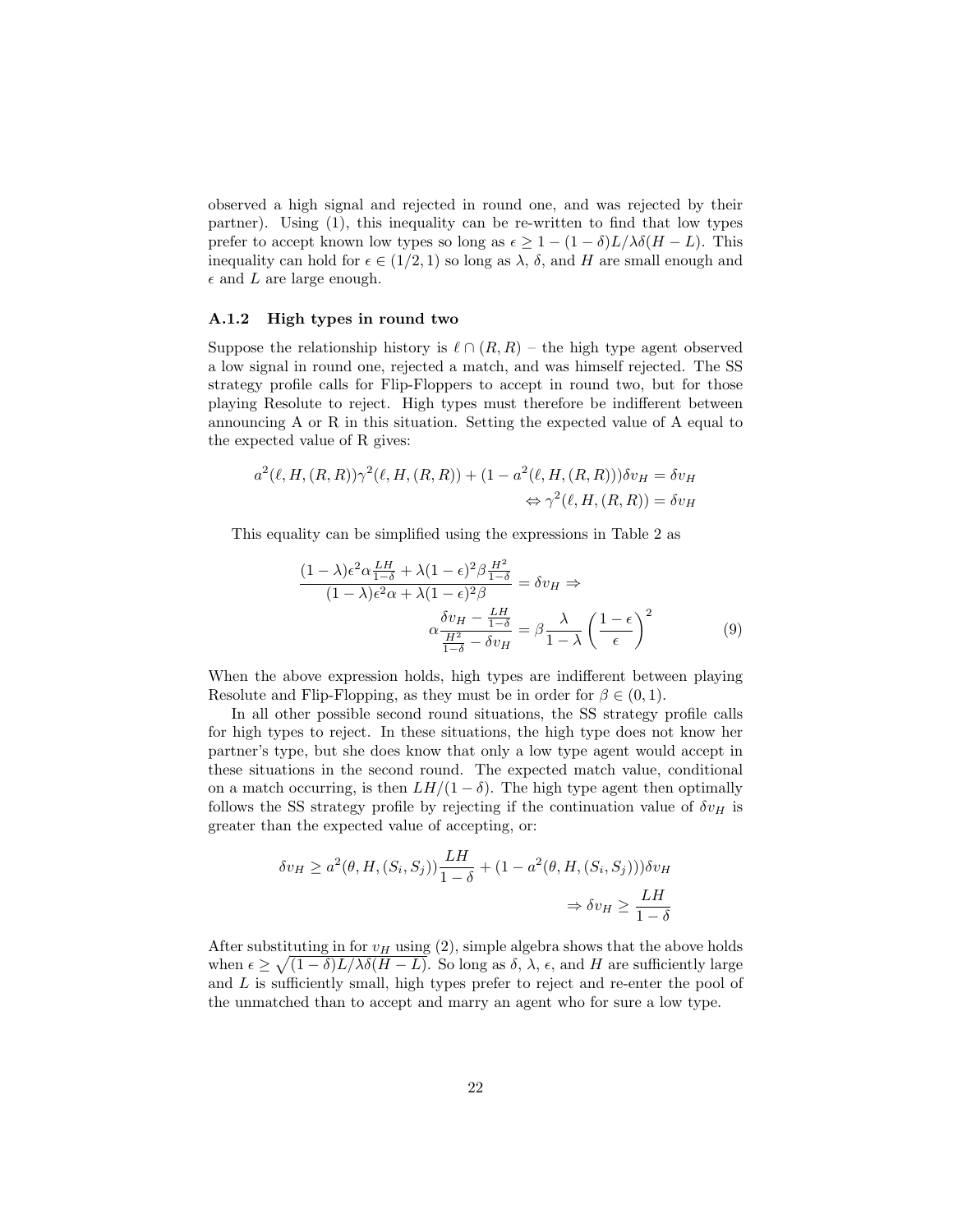observed a high signal and rejected in round one, and was rejected by their partner). Using (1), this inequality can be re-written to find that low types prefer to accept known low types so long as  $\epsilon \geq 1 - (1 - \delta)L/\lambda \delta(H - L)$ . This inequality can hold for  $\epsilon \in (1/2, 1)$  so long as  $\lambda$ ,  $\delta$ , and H are small enough and  $\epsilon$  and L are large enough.

#### A.1.2 High types in round two

Suppose the relationship history is  $\ell \cap (R, R)$  – the high type agent observed a low signal in round one, rejected a match, and was himself rejected. The SS strategy profile calls for Flip-Floppers to accept in round two, but for those playing Resolute to reject. High types must therefore be indifferent between announcing A or R in this situation. Setting the expected value of A equal to the expected value of R gives:

$$
a^2(\ell, H, (R, R))\gamma^2(\ell, H, (R, R)) + (1 - a^2(\ell, H, (R, R)))\delta v_H = \delta v_H
$$
  

$$
\Leftrightarrow \gamma^2(\ell, H, (R, R)) = \delta v_H
$$

This equality can be simplified using the expressions in Table 2 as

$$
\frac{(1-\lambda)\epsilon^2 \alpha \frac{LH}{1-\delta} + \lambda (1-\epsilon)^2 \beta \frac{H^2}{1-\delta}}{(1-\lambda)\epsilon^2 \alpha + \lambda (1-\epsilon)^2 \beta} = \delta v_H \Rightarrow
$$

$$
\alpha \frac{\delta v_H - \frac{LH}{1-\delta}}{\frac{H^2}{1-\delta} - \delta v_H} = \beta \frac{\lambda}{1-\lambda} \left(\frac{1-\epsilon}{\epsilon}\right)^2 \tag{9}
$$

When the above expression holds, high types are indifferent between playing Resolute and Flip-Flopping, as they must be in order for  $\beta \in (0,1)$ .

In all other possible second round situations, the SS strategy profile calls for high types to reject. In these situations, the high type does not know her partner's type, but she does know that only a low type agent would accept in these situations in the second round. The expected match value, conditional on a match occurring, is then  $LH/(1 - \delta)$ . The high type agent then optimally follows the SS strategy profile by rejecting if the continuation value of  $\delta v_H$  is greater than the expected value of accepting, or:

$$
\delta v_H \ge a^2(\theta, H, (S_i, S_j)) \frac{LH}{1 - \delta} + (1 - a^2(\theta, H, (S_i, S_j))) \delta v_H
$$

$$
\Rightarrow \delta v_H \ge \frac{LH}{1 - \delta}
$$

After substituting in for  $v_H$  using (2), simple algebra shows that the above holds when  $\epsilon \geq \sqrt{(1-\delta)L/\lambda\delta(H-L)}$ . So long as  $\delta$ ,  $\lambda$ ,  $\epsilon$ , and H are sufficiently large and  $L$  is sufficiently small, high types prefer to reject and re-enter the pool of the unmatched than to accept and marry an agent who for sure a low type.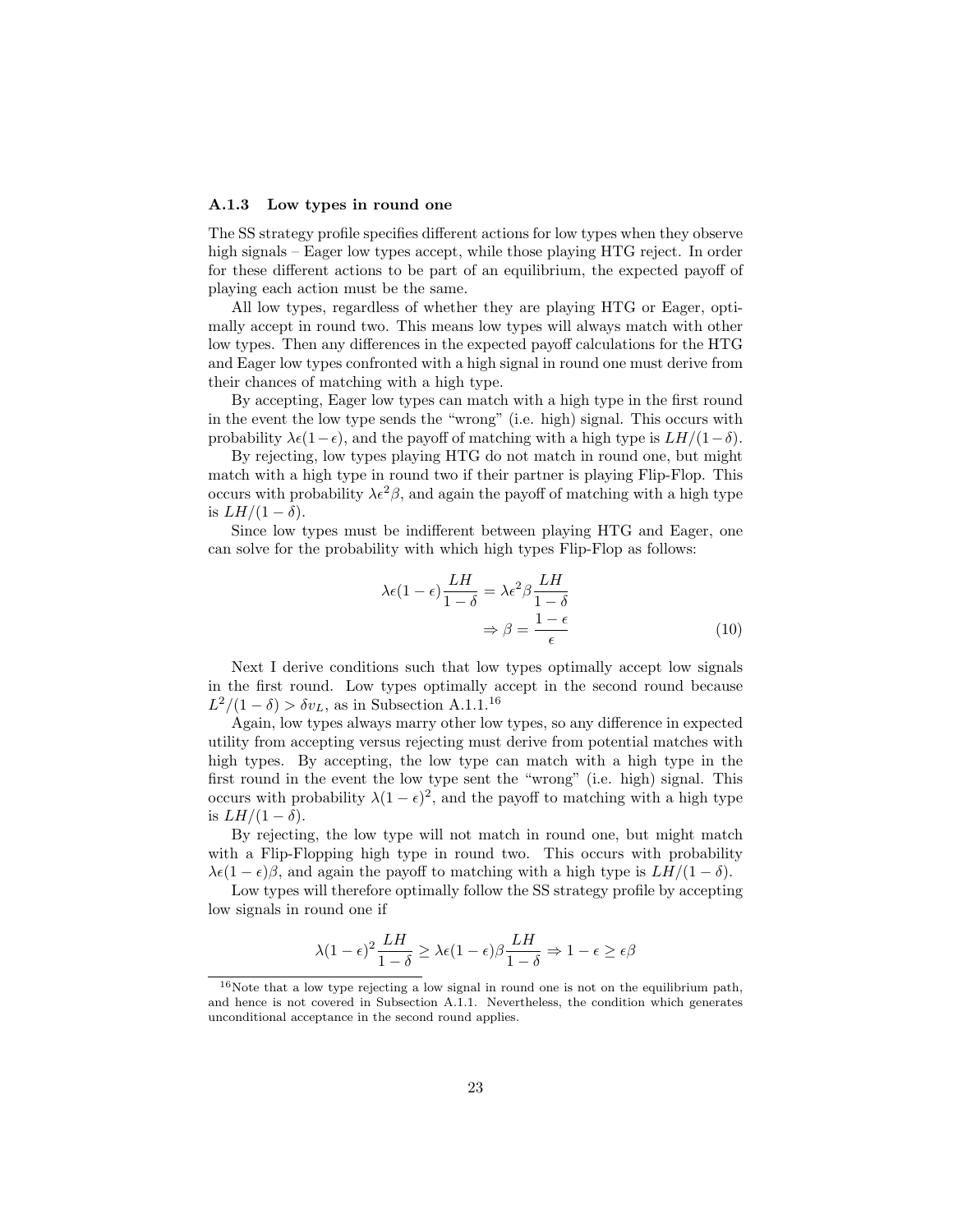#### A.1.3 Low types in round one

The SS strategy profile specifies different actions for low types when they observe high signals – Eager low types accept, while those playing HTG reject. In order for these different actions to be part of an equilibrium, the expected payoff of playing each action must be the same.

All low types, regardless of whether they are playing HTG or Eager, optimally accept in round two. This means low types will always match with other low types. Then any differences in the expected payoff calculations for the HTG and Eager low types confronted with a high signal in round one must derive from their chances of matching with a high type.

By accepting, Eager low types can match with a high type in the first round in the event the low type sends the "wrong" (i.e. high) signal. This occurs with probability  $\lambda \epsilon (1-\epsilon)$ , and the payoff of matching with a high type is  $LH/(1-\delta)$ .

By rejecting, low types playing HTG do not match in round one, but might match with a high type in round two if their partner is playing Flip-Flop. This occurs with probability  $\lambda \epsilon^2 \beta$ , and again the payoff of matching with a high type is  $LH/(1-\delta)$ .

Since low types must be indifferent between playing HTG and Eager, one can solve for the probability with which high types Flip-Flop as follows:

$$
\lambda \epsilon (1 - \epsilon) \frac{LH}{1 - \delta} = \lambda \epsilon^2 \beta \frac{LH}{1 - \delta}
$$

$$
\Rightarrow \beta = \frac{1 - \epsilon}{\epsilon}
$$
(10)

Next I derive conditions such that low types optimally accept low signals in the first round. Low types optimally accept in the second round because  $L^2/(1-\delta) > \delta v_L$ , as in Subsection A.1.1.<sup>16</sup>

Again, low types always marry other low types, so any difference in expected utility from accepting versus rejecting must derive from potential matches with high types. By accepting, the low type can match with a high type in the first round in the event the low type sent the "wrong" (i.e. high) signal. This occurs with probability  $\lambda(1-\epsilon)^2$ , and the payoff to matching with a high type is  $LH/(1-\delta)$ .

By rejecting, the low type will not match in round one, but might match with a Flip-Flopping high type in round two. This occurs with probability  $\lambda \epsilon (1 - \epsilon) \beta$ , and again the payoff to matching with a high type is  $LH/(1 - \delta)$ .

Low types will therefore optimally follow the SS strategy profile by accepting low signals in round one if

$$
\lambda (1 - \epsilon)^2 \frac{LH}{1 - \delta} \ge \lambda \epsilon (1 - \epsilon) \beta \frac{LH}{1 - \delta} \Rightarrow 1 - \epsilon \ge \epsilon \beta
$$

<sup>16</sup>Note that a low type rejecting a low signal in round one is not on the equilibrium path, and hence is not covered in Subsection A.1.1. Nevertheless, the condition which generates unconditional acceptance in the second round applies.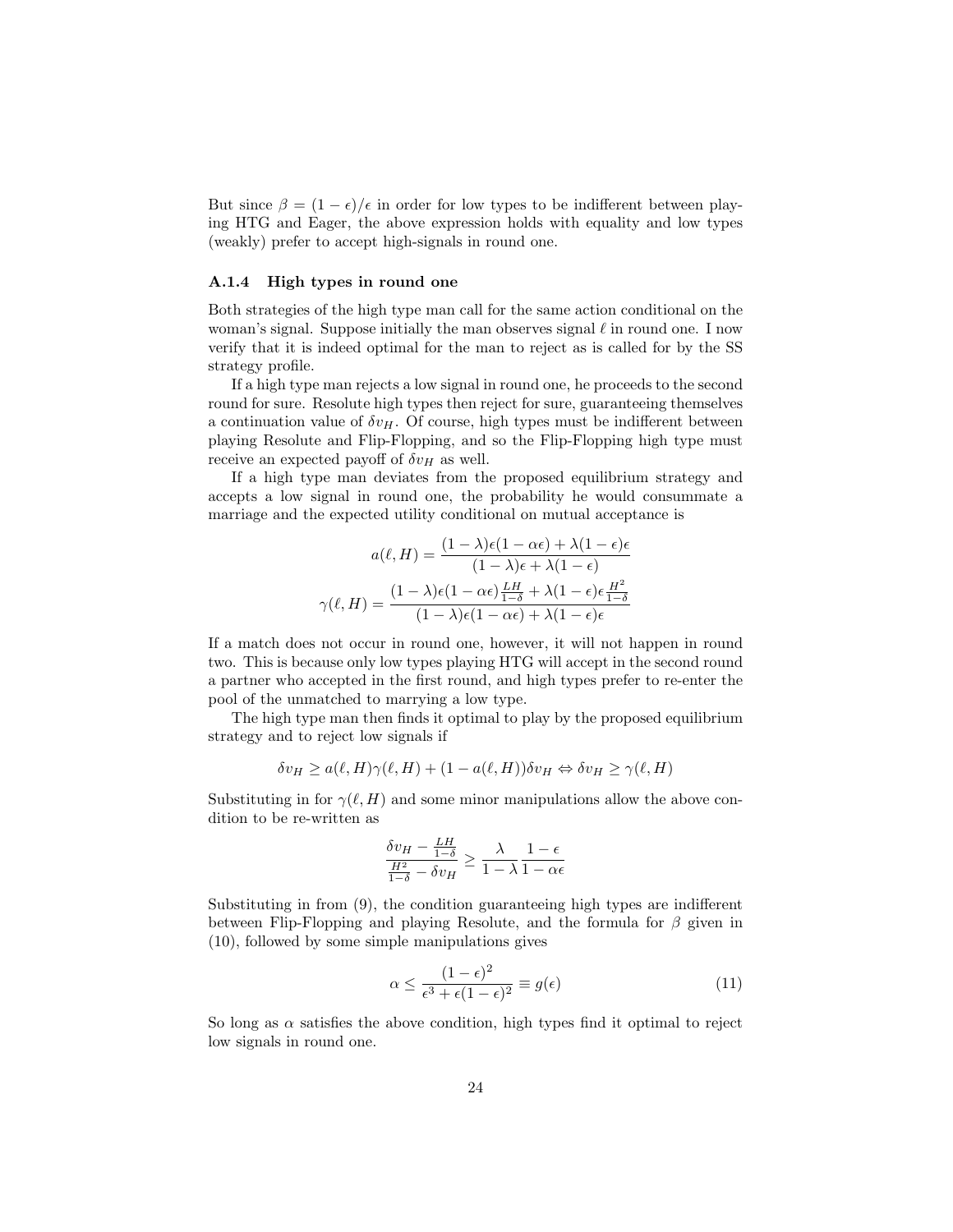But since  $\beta = (1 - \epsilon)/\epsilon$  in order for low types to be indifferent between playing HTG and Eager, the above expression holds with equality and low types (weakly) prefer to accept high-signals in round one.

#### A.1.4 High types in round one

Both strategies of the high type man call for the same action conditional on the woman's signal. Suppose initially the man observes signal  $\ell$  in round one. I now verify that it is indeed optimal for the man to reject as is called for by the SS strategy profile.

If a high type man rejects a low signal in round one, he proceeds to the second round for sure. Resolute high types then reject for sure, guaranteeing themselves a continuation value of  $\delta v_H$ . Of course, high types must be indifferent between playing Resolute and Flip-Flopping, and so the Flip-Flopping high type must receive an expected payoff of  $\delta v_H$  as well.

If a high type man deviates from the proposed equilibrium strategy and accepts a low signal in round one, the probability he would consummate a marriage and the expected utility conditional on mutual acceptance is

$$
a(\ell, H) = \frac{(1 - \lambda)\epsilon(1 - \alpha\epsilon) + \lambda(1 - \epsilon)\epsilon}{(1 - \lambda)\epsilon + \lambda(1 - \epsilon)}
$$

$$
\gamma(\ell, H) = \frac{(1 - \lambda)\epsilon(1 - \alpha\epsilon)\frac{IH}{1 - \delta} + \lambda(1 - \epsilon)\epsilon\frac{H^2}{1 - \delta}}{(1 - \lambda)\epsilon(1 - \alpha\epsilon) + \lambda(1 - \epsilon)\epsilon}
$$

If a match does not occur in round one, however, it will not happen in round two. This is because only low types playing HTG will accept in the second round a partner who accepted in the first round, and high types prefer to re-enter the pool of the unmatched to marrying a low type.

The high type man then finds it optimal to play by the proposed equilibrium strategy and to reject low signals if

$$
\delta v_H \ge a(\ell, H)\gamma(\ell, H) + (1 - a(\ell, H))\delta v_H \Leftrightarrow \delta v_H \ge \gamma(\ell, H)
$$

Substituting in for  $\gamma(\ell, H)$  and some minor manipulations allow the above condition to be re-written as

$$
\frac{\delta v_H - \frac{LH}{1-\delta}}{\frac{H^2}{1-\delta} - \delta v_H} \ge \frac{\lambda}{1-\lambda} \frac{1-\epsilon}{1-\alpha\epsilon}
$$

Substituting in from (9), the condition guaranteeing high types are indifferent between Flip-Flopping and playing Resolute, and the formula for  $\beta$  given in (10), followed by some simple manipulations gives

$$
\alpha \le \frac{(1 - \epsilon)^2}{\epsilon^3 + \epsilon (1 - \epsilon)^2} \equiv g(\epsilon)
$$
\n(11)

So long as  $\alpha$  satisfies the above condition, high types find it optimal to reject low signals in round one.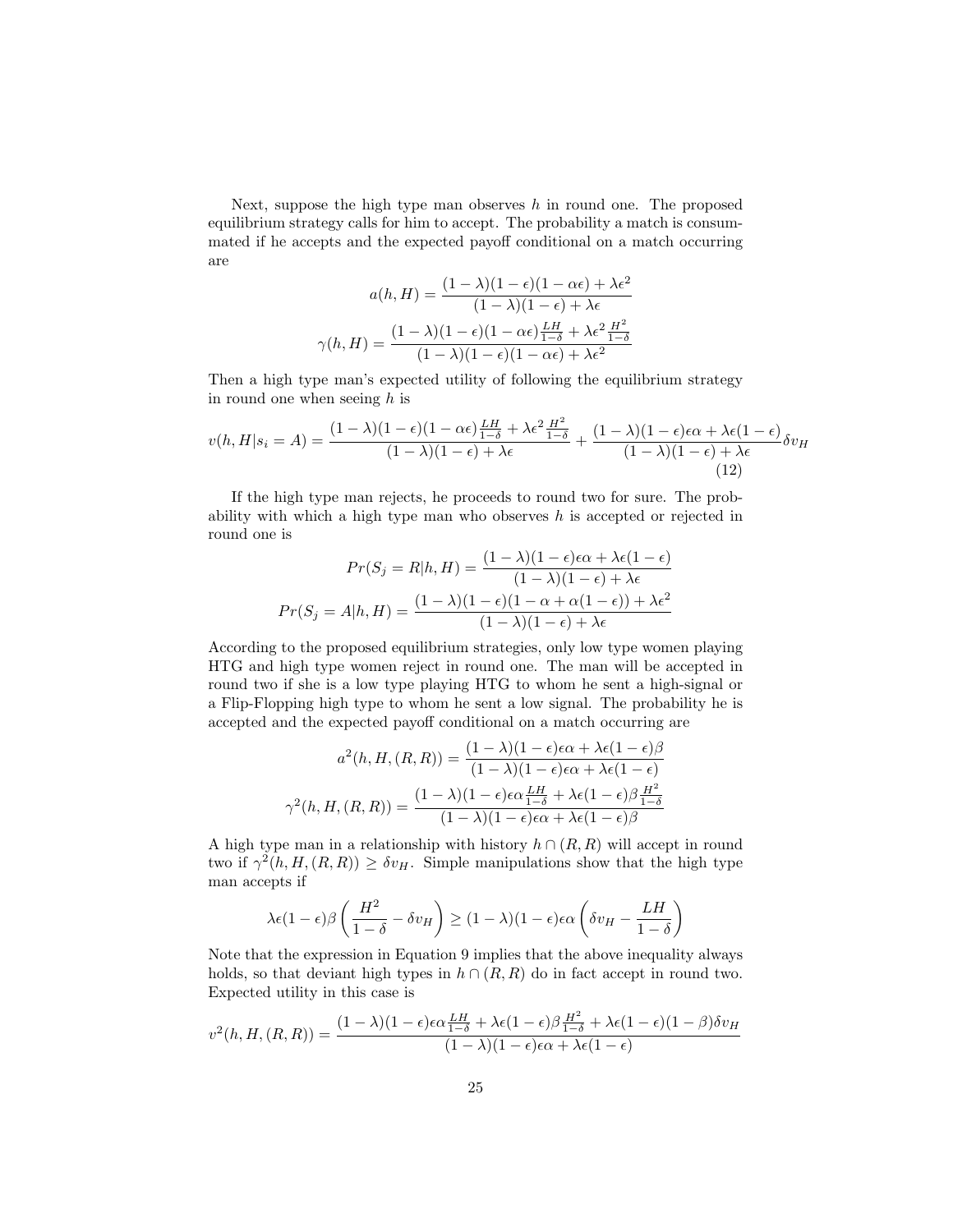Next, suppose the high type man observes  $h$  in round one. The proposed equilibrium strategy calls for him to accept. The probability a match is consummated if he accepts and the expected payoff conditional on a match occurring are

$$
a(h, H) = \frac{(1 - \lambda)(1 - \epsilon)(1 - \alpha\epsilon) + \lambda\epsilon^2}{(1 - \lambda)(1 - \epsilon) + \lambda\epsilon}
$$

$$
\gamma(h, H) = \frac{(1 - \lambda)(1 - \epsilon)(1 - \alpha\epsilon)\frac{LH}{1 - \delta} + \lambda\epsilon^2\frac{H^2}{1 - \delta}}{(1 - \lambda)(1 - \epsilon)(1 - \alpha\epsilon) + \lambda\epsilon^2}
$$

Then a high type man's expected utility of following the equilibrium strategy in round one when seeing  $h$  is

$$
v(h, H|s_i = A) = \frac{(1 - \lambda)(1 - \epsilon)(1 - \alpha\epsilon)\frac{LH}{1 - \delta} + \lambda\epsilon^2 \frac{H^2}{1 - \delta}}{(1 - \lambda)(1 - \epsilon) + \lambda\epsilon} + \frac{(1 - \lambda)(1 - \epsilon)\epsilon\alpha + \lambda\epsilon(1 - \epsilon)}{(1 - \lambda)(1 - \epsilon) + \lambda\epsilon} \delta v_H
$$
\n(12)

If the high type man rejects, he proceeds to round two for sure. The probability with which a high type man who observes  $h$  is accepted or rejected in round one is

$$
Pr(S_j = R|h, H) = \frac{(1 - \lambda)(1 - \epsilon)\epsilon\alpha + \lambda\epsilon(1 - \epsilon)}{(1 - \lambda)(1 - \epsilon) + \lambda\epsilon}
$$

$$
Pr(S_j = A|h, H) = \frac{(1 - \lambda)(1 - \epsilon)(1 - \alpha + \alpha(1 - \epsilon)) + \lambda\epsilon^2}{(1 - \lambda)(1 - \epsilon) + \lambda\epsilon}
$$

According to the proposed equilibrium strategies, only low type women playing HTG and high type women reject in round one. The man will be accepted in round two if she is a low type playing HTG to whom he sent a high-signal or a Flip-Flopping high type to whom he sent a low signal. The probability he is accepted and the expected payoff conditional on a match occurring are

$$
a^{2}(h, H, (R, R)) = \frac{(1 - \lambda)(1 - \epsilon)\epsilon\alpha + \lambda\epsilon(1 - \epsilon)\beta}{(1 - \lambda)(1 - \epsilon)\epsilon\alpha + \lambda\epsilon(1 - \epsilon)}
$$

$$
\gamma^{2}(h, H, (R, R)) = \frac{(1 - \lambda)(1 - \epsilon)\epsilon\alpha\frac{LH}{1 - \delta} + \lambda\epsilon(1 - \epsilon)\beta\frac{H^{2}}{1 - \delta}}{(1 - \lambda)(1 - \epsilon)\epsilon\alpha + \lambda\epsilon(1 - \epsilon)\beta}
$$

A high type man in a relationship with history  $h \cap (R, R)$  will accept in round two if  $\gamma^2(h, H, (R, R)) \geq \delta v_H$ . Simple manipulations show that the high type man accepts if

$$
\lambda \epsilon (1 - \epsilon) \beta \left( \frac{H^2}{1 - \delta} - \delta v_H \right) \ge (1 - \lambda)(1 - \epsilon) \epsilon \alpha \left( \delta v_H - \frac{LH}{1 - \delta} \right)
$$

Note that the expression in Equation 9 implies that the above inequality always holds, so that deviant high types in  $h \cap (R, R)$  do in fact accept in round two. Expected utility in this case is

$$
v^{2}(h, H, (R, R)) = \frac{(1 - \lambda)(1 - \epsilon)\epsilon\alpha \frac{LH}{1 - \delta} + \lambda\epsilon (1 - \epsilon)\beta \frac{H^{2}}{1 - \delta} + \lambda\epsilon (1 - \epsilon)(1 - \beta)\delta v_{H}}{(1 - \lambda)(1 - \epsilon)\epsilon\alpha + \lambda\epsilon (1 - \epsilon)}
$$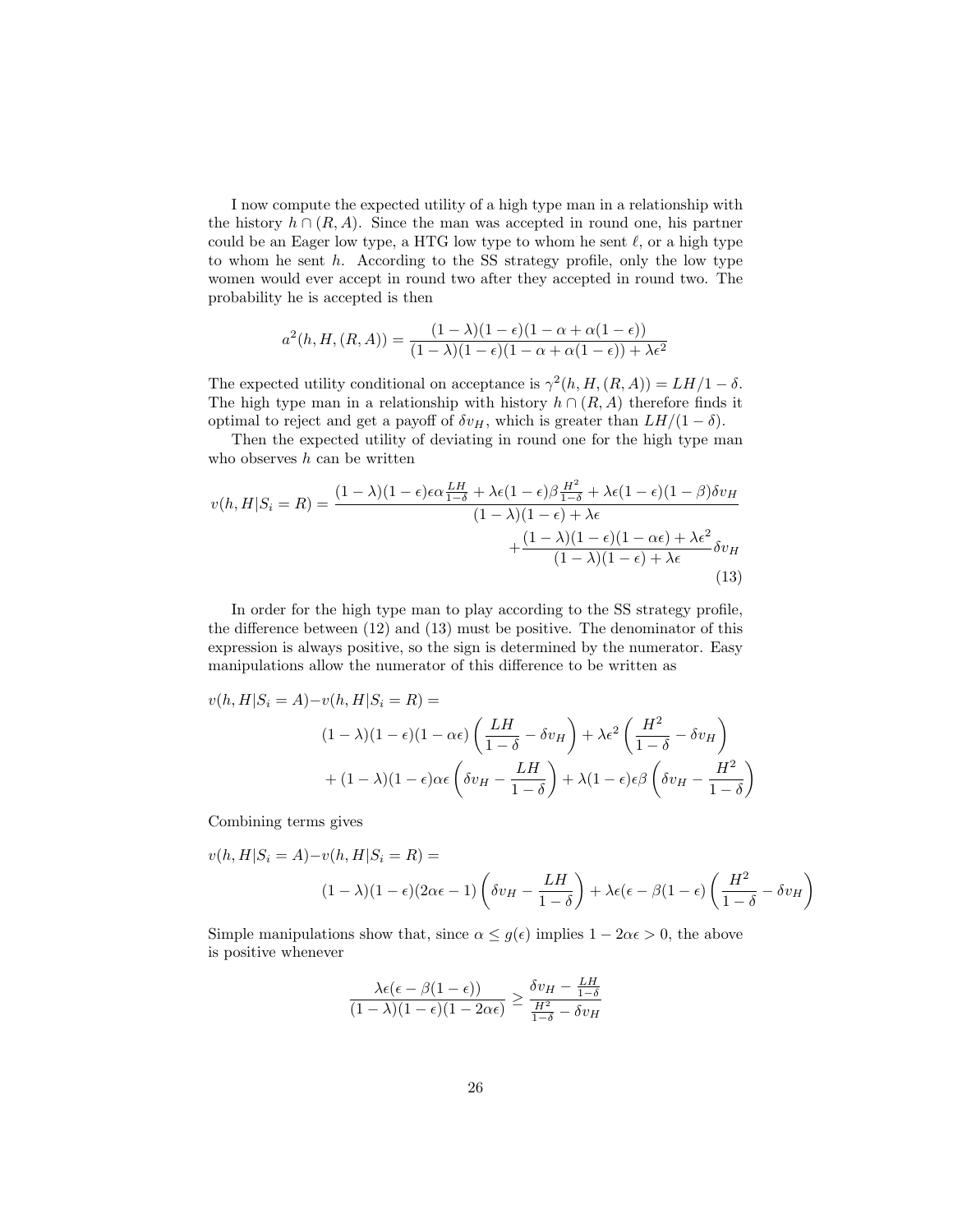I now compute the expected utility of a high type man in a relationship with the history  $h \cap (R, A)$ . Since the man was accepted in round one, his partner could be an Eager low type, a HTG low type to whom he sent  $\ell$ , or a high type to whom he sent  $h$ . According to the SS strategy profile, only the low type women would ever accept in round two after they accepted in round two. The probability he is accepted is then

$$
a^{2}(h, H, (R, A)) = \frac{(1 - \lambda)(1 - \epsilon)(1 - \alpha + \alpha(1 - \epsilon))}{(1 - \lambda)(1 - \epsilon)(1 - \alpha + \alpha(1 - \epsilon)) + \lambda\epsilon^{2}}
$$

The expected utility conditional on acceptance is  $\gamma^2(h, H, (R, A)) = LH/1 - \delta$ . The high type man in a relationship with history  $h \cap (R, A)$  therefore finds it optimal to reject and get a payoff of  $\delta v_H$ , which is greater than  $LH/(1-\delta)$ .

Then the expected utility of deviating in round one for the high type man who observes  $h$  can be written

$$
v(h, H|S_i = R) = \frac{(1 - \lambda)(1 - \epsilon)\epsilon\alpha \frac{LH}{1 - \delta} + \lambda\epsilon (1 - \epsilon)\beta \frac{H^2}{1 - \delta} + \lambda\epsilon (1 - \epsilon)(1 - \beta)\delta v_H}{(1 - \lambda)(1 - \epsilon) + \lambda\epsilon} + \frac{(1 - \lambda)(1 - \epsilon)(1 - \alpha\epsilon) + \lambda\epsilon^2}{(1 - \lambda)(1 - \epsilon) + \lambda\epsilon} \delta v_H
$$
\n(13)

In order for the high type man to play according to the SS strategy profile, the difference between (12) and (13) must be positive. The denominator of this expression is always positive, so the sign is determined by the numerator. Easy manipulations allow the numerator of this difference to be written as

$$
v(h, H|S_i = A) - v(h, H|S_i = R) =
$$
  

$$
(1 - \lambda)(1 - \epsilon)(1 - \alpha\epsilon) \left(\frac{LH}{1 - \delta} - \delta v_H\right) + \lambda\epsilon^2 \left(\frac{H^2}{1 - \delta} - \delta v_H\right)
$$
  

$$
+ (1 - \lambda)(1 - \epsilon)\alpha\epsilon \left(\delta v_H - \frac{LH}{1 - \delta}\right) + \lambda(1 - \epsilon)\epsilon\beta \left(\delta v_H - \frac{H^2}{1 - \delta}\right)
$$

Combining terms gives

$$
v(h, H|S_i = A) - v(h, H|S_i = R) =
$$
  

$$
(1 - \lambda)(1 - \epsilon)(2\alpha\epsilon - 1)\left(\delta v_H - \frac{LH}{1 - \delta}\right) + \lambda\epsilon(\epsilon - \beta(1 - \epsilon)\left(\frac{H^2}{1 - \delta} - \delta v_H\right)
$$

Simple manipulations show that, since  $\alpha \leq g(\epsilon)$  implies  $1 - 2\alpha \epsilon > 0$ , the above is positive whenever

$$
\frac{\lambda \epsilon (\epsilon - \beta (1 - \epsilon))}{(1 - \lambda)(1 - \epsilon)(1 - 2\alpha \epsilon)} \ge \frac{\delta v_H - \frac{LH}{1 - \delta}}{\frac{H^2}{1 - \delta} - \delta v_H}
$$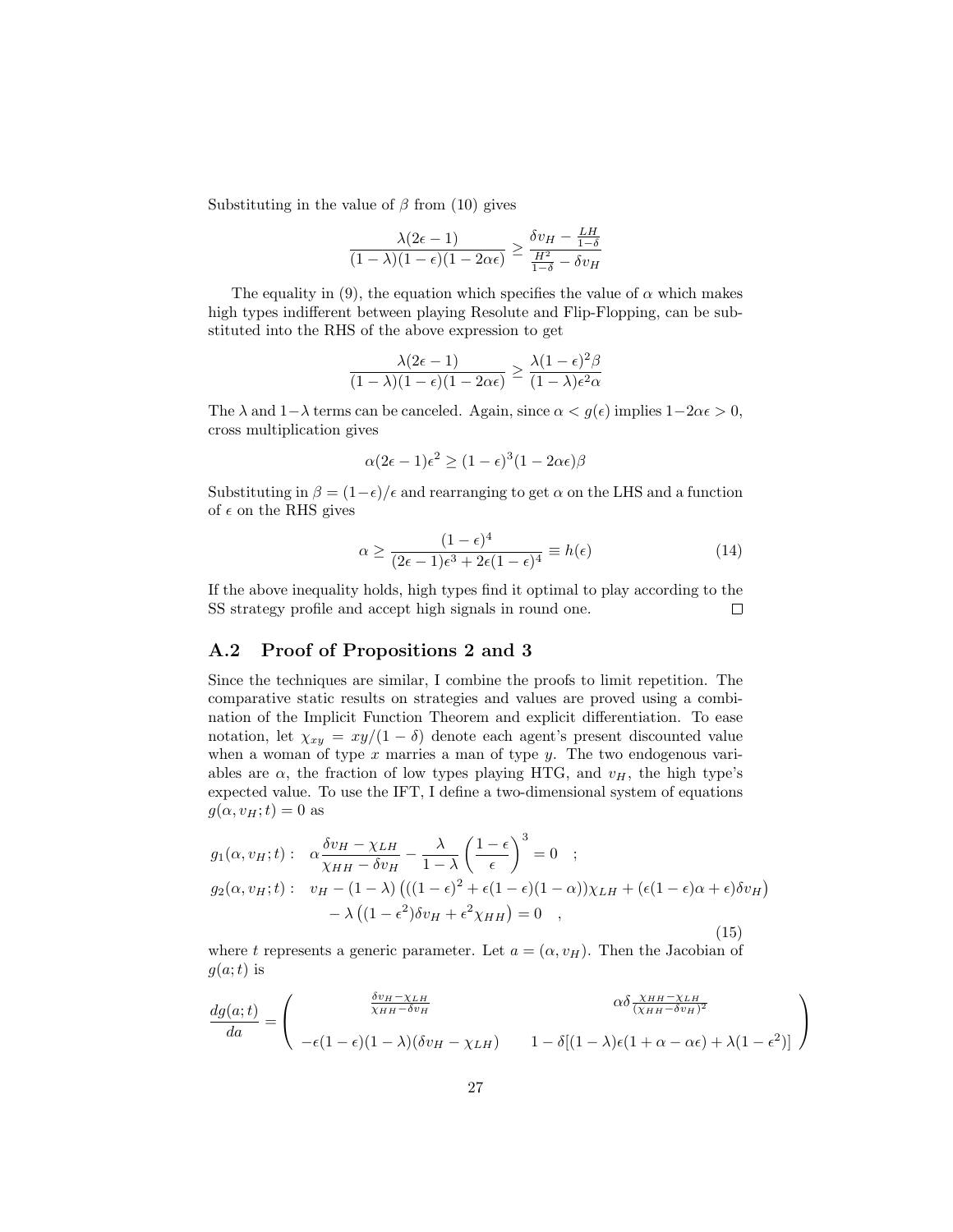Substituting in the value of  $\beta$  from (10) gives

$$
\frac{\lambda(2\epsilon - 1)}{(1 - \lambda)(1 - \epsilon)(1 - 2\alpha\epsilon)} \ge \frac{\delta v_H - \frac{LH}{1 - \delta}}{\frac{H^2}{1 - \delta} - \delta v_H}
$$

The equality in (9), the equation which specifies the value of  $\alpha$  which makes high types indifferent between playing Resolute and Flip-Flopping, can be substituted into the RHS of the above expression to get

$$
\frac{\lambda(2\epsilon - 1)}{(1 - \lambda)(1 - \epsilon)(1 - 2\alpha\epsilon)} \ge \frac{\lambda(1 - \epsilon)^2 \beta}{(1 - \lambda)\epsilon^2 \alpha}
$$

The  $\lambda$  and  $1-\lambda$  terms can be canceled. Again, since  $\alpha < g(\epsilon)$  implies  $1-2\alpha\epsilon > 0$ , cross multiplication gives

$$
\alpha(2\epsilon - 1)\epsilon^2 \ge (1 - \epsilon)^3 (1 - 2\alpha\epsilon)\beta
$$

Substituting in  $\beta = (1-\epsilon)/\epsilon$  and rearranging to get  $\alpha$  on the LHS and a function of  $\epsilon$  on the RHS gives

$$
\alpha \ge \frac{(1 - \epsilon)^4}{(2\epsilon - 1)\epsilon^3 + 2\epsilon(1 - \epsilon)^4} \equiv h(\epsilon)
$$
\n(14)

If the above inequality holds, high types find it optimal to play according to the SS strategy profile and accept high signals in round one.  $\Box$ 

### A.2 Proof of Propositions 2 and 3

Since the techniques are similar, I combine the proofs to limit repetition. The comparative static results on strategies and values are proved using a combination of the Implicit Function Theorem and explicit differentiation. To ease notation, let  $\chi_{xy} = xy/(1 - \delta)$  denote each agent's present discounted value when a woman of type  $x$  marries a man of type  $y$ . The two endogenous variables are  $\alpha$ , the fraction of low types playing HTG, and  $v_H$ , the high type's expected value. To use the IFT, I define a two-dimensional system of equations  $g(\alpha, v_H; t) = 0$  as

$$
g_1(\alpha, v_H; t): \quad \alpha \frac{\delta v_H - \chi_{LH}}{\chi_{HH} - \delta v_H} - \frac{\lambda}{1 - \lambda} \left(\frac{1 - \epsilon}{\epsilon}\right)^3 = 0 \quad ;
$$
  
\n
$$
g_2(\alpha, v_H; t): \quad v_H - (1 - \lambda) \left(((1 - \epsilon)^2 + \epsilon (1 - \epsilon)(1 - \alpha))\chi_{LH} + (\epsilon (1 - \epsilon)\alpha + \epsilon)\delta v_H\right) - \lambda \left((1 - \epsilon^2)\delta v_H + \epsilon^2 \chi_{HH}\right) = 0 \quad ,
$$
\n(15)

where t represents a generic parameter. Let  $a = (\alpha, v_H)$ . Then the Jacobian of  $q(a;t)$  is

$$
\frac{dg(a; t)}{da} = \begin{pmatrix} \frac{\delta v_H - \chi_{LH}}{\chi_{HH} - \delta v_H} & \alpha \delta \frac{\chi_{HH} - \chi_{LH}}{(\chi_{HH} - \delta v_H)^2} \\ -\epsilon (1 - \epsilon)(1 - \lambda)(\delta v_H - \chi_{LH}) & 1 - \delta[(1 - \lambda)\epsilon (1 + \alpha - \alpha \epsilon) + \lambda(1 - \epsilon^2)] \end{pmatrix}
$$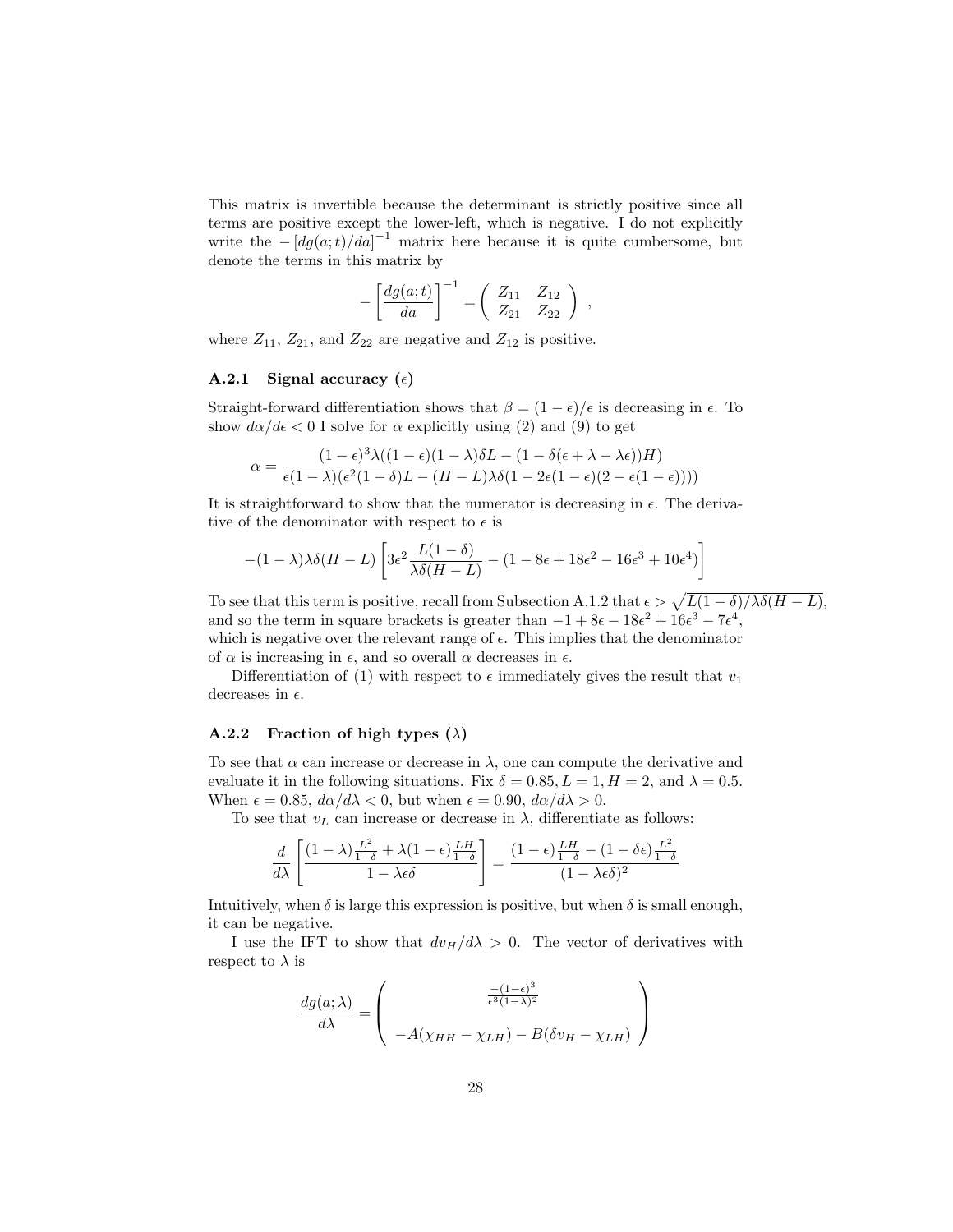This matrix is invertible because the determinant is strictly positive since all terms are positive except the lower-left, which is negative. I do not explicitly write the  $-[dg(a;t)/da]^{-1}$  matrix here because it is quite cumbersome, but denote the terms in this matrix by

$$
-\left[\frac{dg(a; t)}{da}\right]^{-1} = \begin{pmatrix} Z_{11} & Z_{12} \\ Z_{21} & Z_{22} \end{pmatrix} ,
$$

where  $Z_{11}$ ,  $Z_{21}$ , and  $Z_{22}$  are negative and  $Z_{12}$  is positive.

### A.2.1 Signal accuracy  $(\epsilon)$

Straight-forward differentiation shows that  $\beta = (1 - \epsilon)/\epsilon$  is decreasing in  $\epsilon$ . To show  $d\alpha/d\epsilon < 0$  I solve for  $\alpha$  explicitly using (2) and (9) to get

$$
\alpha = \frac{(1-\epsilon)^3 \lambda ((1-\epsilon)(1-\lambda)\delta L - (1-\delta(\epsilon+\lambda-\lambda\epsilon))H)}{\epsilon (1-\lambda)(\epsilon^2(1-\delta)L - (H-L)\lambda\delta(1-2\epsilon(1-\epsilon)(2-\epsilon(1-\epsilon))))}
$$

It is straightforward to show that the numerator is decreasing in  $\epsilon$ . The derivative of the denominator with respect to  $\epsilon$  is

$$
-(1-\lambda)\lambda\delta(H-L)\left[3\epsilon^2\frac{L(1-\delta)}{\lambda\delta(H-L)}-(1-8\epsilon+18\epsilon^2-16\epsilon^3+10\epsilon^4)\right]
$$

To see that this term is positive, recall from Subsection A.1.2 that  $\epsilon > \sqrt{L(1-\delta)/\lambda \delta (H-L)}$ , and so the term in square brackets is greater than  $-1 + 8\epsilon - 18\epsilon^2 + 16\epsilon^3 - 7\epsilon^4$ , which is negative over the relevant range of  $\epsilon$ . This implies that the denominator of  $\alpha$  is increasing in  $\epsilon$ , and so overall  $\alpha$  decreases in  $\epsilon$ .

Differentiation of (1) with respect to  $\epsilon$  immediately gives the result that  $v_1$ decreases in  $\epsilon$ .

### A.2.2 Fraction of high types  $(\lambda)$

To see that  $\alpha$  can increase or decrease in  $\lambda$ , one can compute the derivative and evaluate it in the following situations. Fix  $\delta = 0.85, L = 1, H = 2$ , and  $\lambda = 0.5$ . When  $\epsilon = 0.85$ ,  $d\alpha/d\lambda < 0$ , but when  $\epsilon = 0.90$ ,  $d\alpha/d\lambda > 0$ .

To see that  $v_L$  can increase or decrease in  $\lambda$ , differentiate as follows:

$$
\frac{d}{d\lambda} \left[ \frac{(1-\lambda)\frac{L^2}{1-\delta} + \lambda(1-\epsilon)\frac{LH}{1-\delta}}{1-\lambda\epsilon\delta} \right] = \frac{(1-\epsilon)\frac{LH}{1-\delta} - (1-\delta\epsilon)\frac{L^2}{1-\delta}}{(1-\lambda\epsilon\delta)^2}
$$

Intuitively, when  $\delta$  is large this expression is positive, but when  $\delta$  is small enough, it can be negative.

I use the IFT to show that  $dv_H/d\lambda > 0$ . The vector of derivatives with respect to  $\lambda$  is

$$
\frac{dg(a;\lambda)}{d\lambda} = \begin{pmatrix} \frac{(-1-\epsilon)^3}{\epsilon^3(1-\lambda)^2} \\ -A(\chi_{HH} - \chi_{LH}) - B(\delta v_H - \chi_{LH}) \end{pmatrix}
$$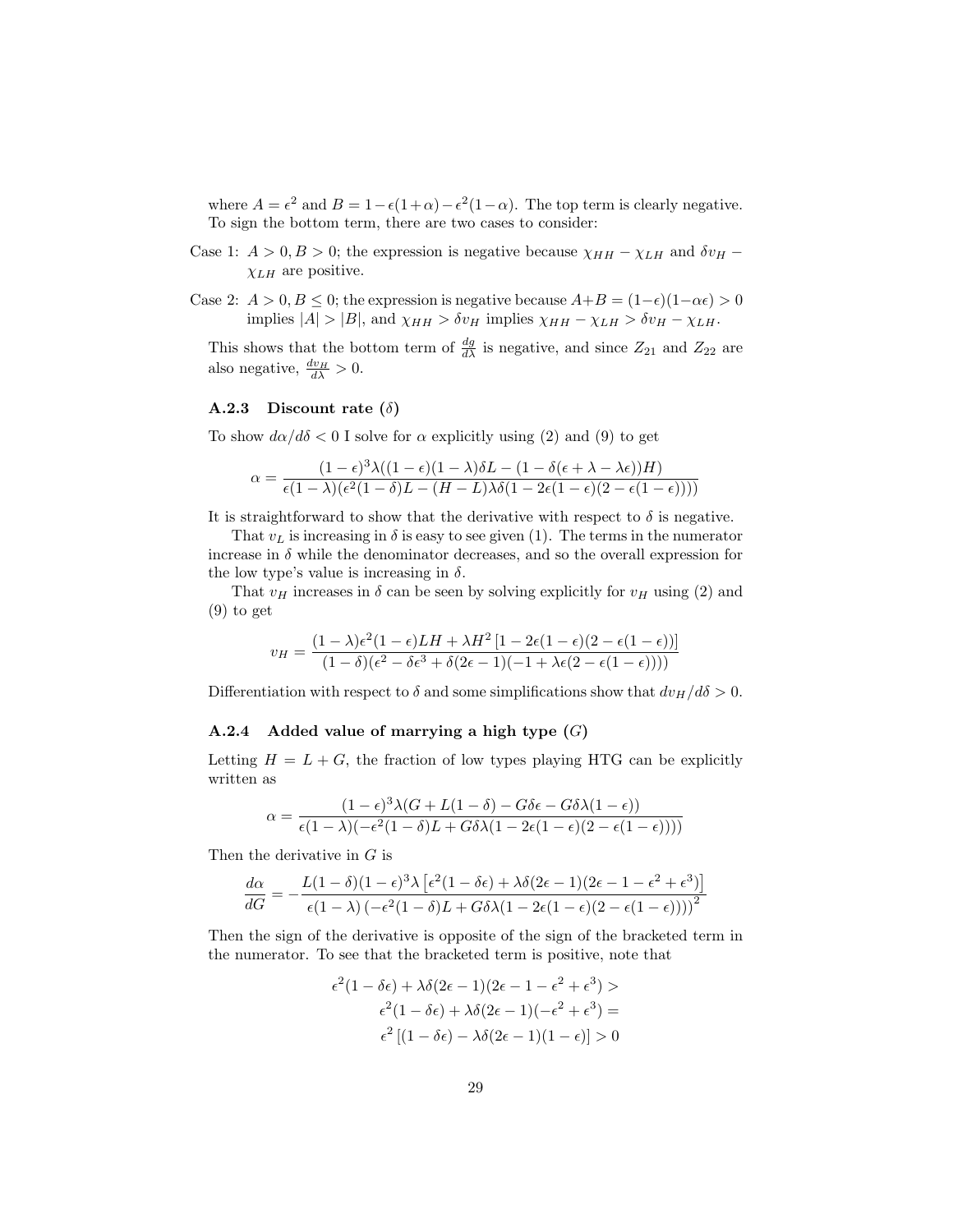where  $A = \epsilon^2$  and  $B = 1 - \epsilon(1+\alpha) - \epsilon^2(1-\alpha)$ . The top term is clearly negative. To sign the bottom term, there are two cases to consider:

- Case 1:  $A > 0$ ,  $B > 0$ ; the expression is negative because  $\chi_{HH} \chi_{LH}$  and  $\delta v_H$   $\chi$ <sub>LH</sub> are positive.
- Case 2:  $A > 0, B \le 0$ ; the expression is negative because  $A+B = (1-\epsilon)(1-\alpha\epsilon) > 0$ implies  $|A| > |B|$ , and  $\chi_{HH} > \delta v_H$  implies  $\chi_{HH} - \chi_{LH} > \delta v_H - \chi_{LH}$ .

This shows that the bottom term of  $\frac{dg}{d\lambda}$  is negative, and since  $Z_{21}$  and  $Z_{22}$  are also negative,  $\frac{dv_H}{d\lambda} > 0$ .

### **A.2.3** Discount rate  $(\delta)$

To show  $d\alpha/d\delta < 0$  I solve for  $\alpha$  explicitly using (2) and (9) to get

$$
\alpha = \frac{(1-\epsilon)^3\lambda((1-\epsilon)(1-\lambda)\delta L - (1-\delta(\epsilon+\lambda-\lambda\epsilon))H)}{\epsilon(1-\lambda)(\epsilon^2(1-\delta)L - (H-L)\lambda\delta(1-2\epsilon(1-\epsilon)(2-\epsilon(1-\epsilon))))}
$$

It is straightforward to show that the derivative with respect to  $\delta$  is negative.

That  $v<sub>L</sub>$  is increasing in  $\delta$  is easy to see given (1). The terms in the numerator increase in  $\delta$  while the denominator decreases, and so the overall expression for the low type's value is increasing in  $\delta$ .

That  $v_H$  increases in  $\delta$  can be seen by solving explicitly for  $v_H$  using (2) and (9) to get

$$
v_H = \frac{(1-\lambda)\epsilon^2(1-\epsilon)LH + \lambda H^2\left[1 - 2\epsilon(1-\epsilon)(2-\epsilon(1-\epsilon))\right]}{(1-\delta)(\epsilon^2 - \delta\epsilon^3 + \delta(2\epsilon - 1)(-1 + \lambda\epsilon(2-\epsilon(1-\epsilon))))}
$$

Differentiation with respect to  $\delta$  and some simplifications show that  $dv_H/d\delta > 0$ .

#### A.2.4 Added value of marrying a high type  $(G)$

Letting  $H = L + G$ , the fraction of low types playing HTG can be explicitly written as

$$
\alpha = \frac{(1-\epsilon)^3 \lambda (G + L(1-\delta) - G \delta \epsilon - G \delta \lambda (1-\epsilon))}{\epsilon (1-\lambda) (-\epsilon^2 (1-\delta) L + G \delta \lambda (1-2\epsilon (1-\epsilon) (2-\epsilon (1-\epsilon))))}
$$

Then the derivative in G is

$$
\frac{d\alpha}{dG} = -\frac{L(1-\delta)(1-\epsilon)^3 \lambda \left[\epsilon^2 (1-\delta\epsilon) + \lambda \delta (2\epsilon - 1)(2\epsilon - 1 - \epsilon^2 + \epsilon^3)\right]}{\epsilon (1-\lambda) \left(-\epsilon^2 (1-\delta)L + G\delta\lambda (1 - 2\epsilon(1-\epsilon)(2-\epsilon(1-\epsilon))))\right)^2}
$$

Then the sign of the derivative is opposite of the sign of the bracketed term in the numerator. To see that the bracketed term is positive, note that

$$
\epsilon^2 (1 - \delta \epsilon) + \lambda \delta (2\epsilon - 1)(2\epsilon - 1 - \epsilon^2 + \epsilon^3) >
$$

$$
\epsilon^2 (1 - \delta \epsilon) + \lambda \delta (2\epsilon - 1)(-\epsilon^2 + \epsilon^3) =
$$

$$
\epsilon^2 [(1 - \delta \epsilon) - \lambda \delta (2\epsilon - 1)(1 - \epsilon)] > 0
$$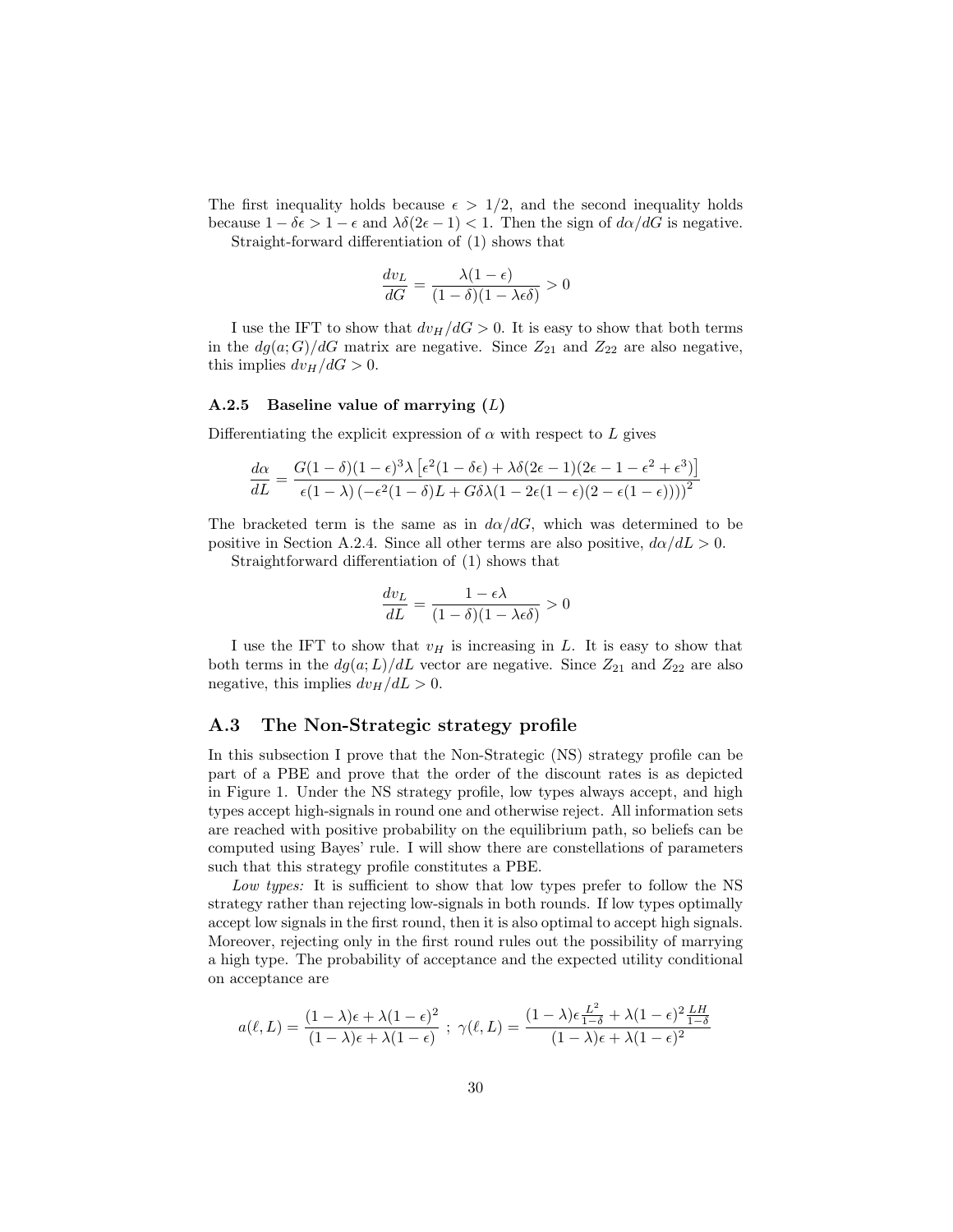The first inequality holds because  $\epsilon > 1/2$ , and the second inequality holds because  $1 - \delta \epsilon > 1 - \epsilon$  and  $\lambda \delta(2\epsilon - 1) < 1$ . Then the sign of  $d\alpha/dG$  is negative.

Straight-forward differentiation of (1) shows that

$$
\frac{dv_L}{dG} = \frac{\lambda(1-\epsilon)}{(1-\delta)(1-\lambda\epsilon\delta)} > 0
$$

I use the IFT to show that  $dv_H/dG > 0$ . It is easy to show that both terms in the  $dg(a; G)/dG$  matrix are negative. Since  $Z_{21}$  and  $Z_{22}$  are also negative, this implies  $dv_H/dG > 0$ .

#### A.2.5 Baseline value of marrying (L)

Differentiating the explicit expression of  $\alpha$  with respect to L gives

$$
\frac{d\alpha}{dL} = \frac{G(1-\delta)(1-\epsilon)^3 \lambda \left[\epsilon^2 (1-\delta\epsilon) + \lambda \delta (2\epsilon - 1)(2\epsilon - 1 - \epsilon^2 + \epsilon^3)\right]}{\epsilon (1-\lambda) \left(-\epsilon^2 (1-\delta)L + G\delta\lambda (1 - 2\epsilon(1-\epsilon)(2-\epsilon(1-\epsilon))))\right)^2}
$$

The bracketed term is the same as in  $d\alpha/dG$ , which was determined to be positive in Section A.2.4. Since all other terms are also positive,  $d\alpha/dL > 0$ .

Straightforward differentiation of (1) shows that

$$
\frac{dv_L}{dL} = \frac{1 - \epsilon \lambda}{(1 - \delta)(1 - \lambda \epsilon \delta)} > 0
$$

I use the IFT to show that  $v_H$  is increasing in L. It is easy to show that both terms in the  $dg(a;L)/dL$  vector are negative. Since  $Z_{21}$  and  $Z_{22}$  are also negative, this implies  $dv_H/dL > 0$ .

### A.3 The Non-Strategic strategy profile

In this subsection I prove that the Non-Strategic (NS) strategy profile can be part of a PBE and prove that the order of the discount rates is as depicted in Figure 1. Under the NS strategy profile, low types always accept, and high types accept high-signals in round one and otherwise reject. All information sets are reached with positive probability on the equilibrium path, so beliefs can be computed using Bayes' rule. I will show there are constellations of parameters such that this strategy profile constitutes a PBE.

Low types: It is sufficient to show that low types prefer to follow the NS strategy rather than rejecting low-signals in both rounds. If low types optimally accept low signals in the first round, then it is also optimal to accept high signals. Moreover, rejecting only in the first round rules out the possibility of marrying a high type. The probability of acceptance and the expected utility conditional on acceptance are

$$
a(\ell, L) = \frac{(1 - \lambda)\epsilon + \lambda(1 - \epsilon)^2}{(1 - \lambda)\epsilon + \lambda(1 - \epsilon)}; \ \gamma(\ell, L) = \frac{(1 - \lambda)\epsilon + \lambda(1 - \epsilon)^2 \frac{LH}{1 - \delta}}{(1 - \lambda)\epsilon + \lambda(1 - \epsilon)^2}
$$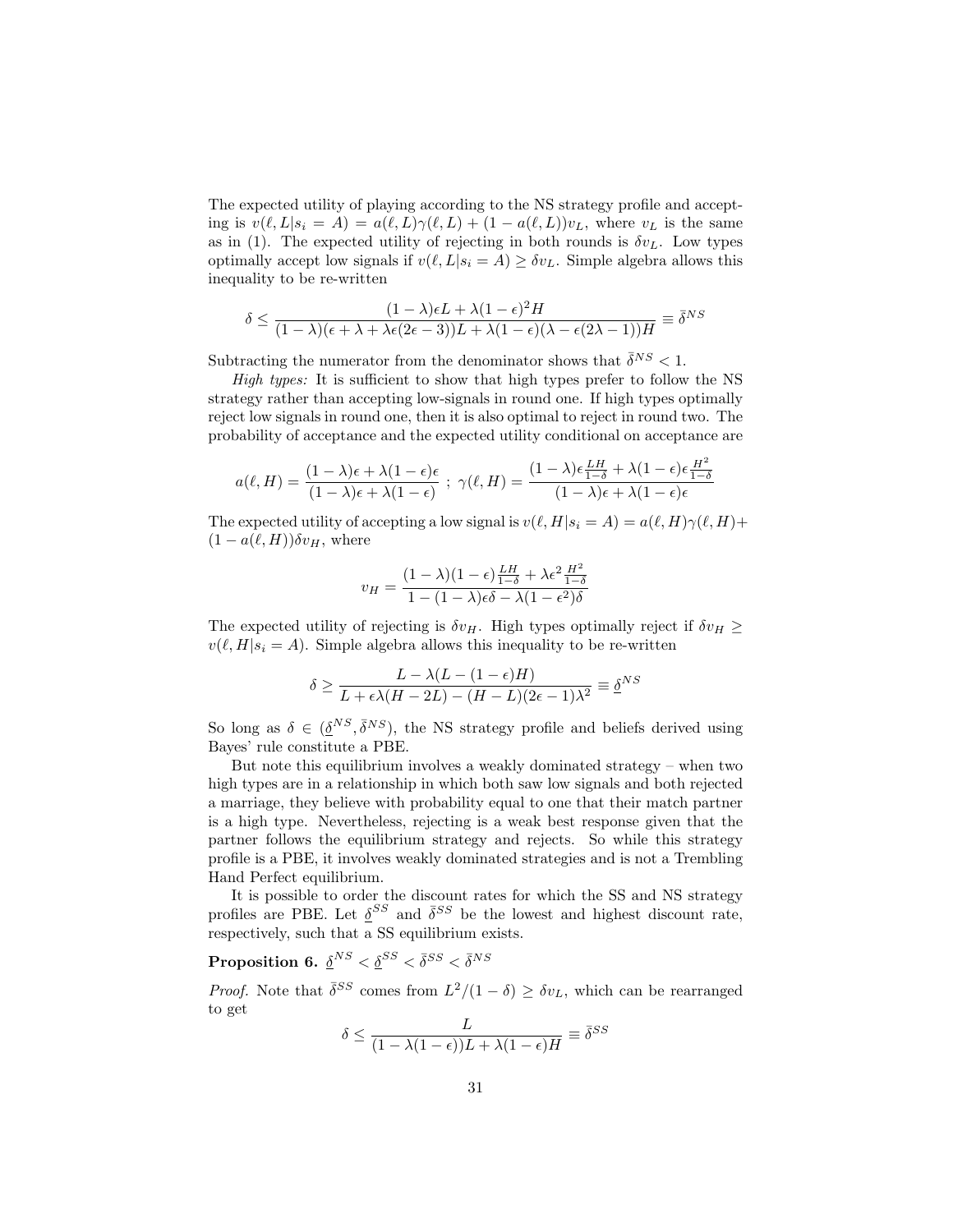The expected utility of playing according to the NS strategy profile and accepting is  $v(\ell, L|s_i = A) = a(\ell, L)\gamma(\ell, L) + (1 - a(\ell, L))v_L$ , where  $v_L$  is the same as in (1). The expected utility of rejecting in both rounds is  $\delta v_L$ . Low types optimally accept low signals if  $v(\ell, L|s_i = A) \geq \delta v_L$ . Simple algebra allows this inequality to be re-written

$$
\delta \le \frac{(1-\lambda)\epsilon L + \lambda(1-\epsilon)^2 H}{(1-\lambda)(\epsilon + \lambda + \lambda\epsilon(2\epsilon - 3))L + \lambda(1-\epsilon)(\lambda - \epsilon(2\lambda - 1))H} \equiv \bar{\delta}^{NS}
$$

Subtracting the numerator from the denominator shows that  $\bar{\delta}^{NS} < 1$ .

High types: It is sufficient to show that high types prefer to follow the NS strategy rather than accepting low-signals in round one. If high types optimally reject low signals in round one, then it is also optimal to reject in round two. The probability of acceptance and the expected utility conditional on acceptance are

$$
a(\ell, H) = \frac{(1 - \lambda)\epsilon + \lambda(1 - \epsilon)\epsilon}{(1 - \lambda)\epsilon + \lambda(1 - \epsilon)}; \ \gamma(\ell, H) = \frac{(1 - \lambda)\epsilon \frac{LH}{1 - \delta} + \lambda(1 - \epsilon)\epsilon \frac{H^2}{1 - \delta}}{(1 - \lambda)\epsilon + \lambda(1 - \epsilon)\epsilon}
$$

The expected utility of accepting a low signal is  $v(\ell, H|s_i = A) = a(\ell, H)\gamma(\ell, H)+$  $(1 - a(\ell, H)) \delta v_H$ , where

$$
v_H = \frac{(1 - \lambda)(1 - \epsilon)\frac{LH}{1 - \delta} + \lambda \epsilon^2 \frac{H^2}{1 - \delta}}{1 - (1 - \lambda)\epsilon\delta - \lambda(1 - \epsilon^2)\delta}
$$

The expected utility of rejecting is  $\delta v_H$ . High types optimally reject if  $\delta v_H \geq$  $v(\ell, H|s_i = A)$ . Simple algebra allows this inequality to be re-written

$$
\delta \ge \frac{L - \lambda(L - (1 - \epsilon)H)}{L + \epsilon \lambda (H - 2L) - (H - L)(2\epsilon - 1)\lambda^2} \equiv \underline{\delta}^{NS}
$$

So long as  $\delta \in (\underline{\delta}^{NS}, \overline{\delta}^{NS})$ , the NS strategy profile and beliefs derived using Bayes' rule constitute a PBE.

But note this equilibrium involves a weakly dominated strategy – when two high types are in a relationship in which both saw low signals and both rejected a marriage, they believe with probability equal to one that their match partner is a high type. Nevertheless, rejecting is a weak best response given that the partner follows the equilibrium strategy and rejects. So while this strategy profile is a PBE, it involves weakly dominated strategies and is not a Trembling Hand Perfect equilibrium.

It is possible to order the discount rates for which the SS and NS strategy profiles are PBE. Let  $\delta^{SS}$  and  $\bar{\delta}^{SS}$  be the lowest and highest discount rate, respectively, such that a SS equilibrium exists.

# $\textbf{Proposition 6.} \enspace \underline{\delta}^{NS} < \underline{\delta}^{SS} < \bar{\delta}^{SS} < \bar{\delta}^{NS}$

*Proof.* Note that  $\bar{\delta}^{SS}$  comes from  $L^2/(1-\delta) \geq \delta v_L$ , which can be rearranged to get

$$
\delta \le \frac{L}{(1 - \lambda(1 - \epsilon))L + \lambda(1 - \epsilon)H} \equiv \overline{\delta}^{SS}
$$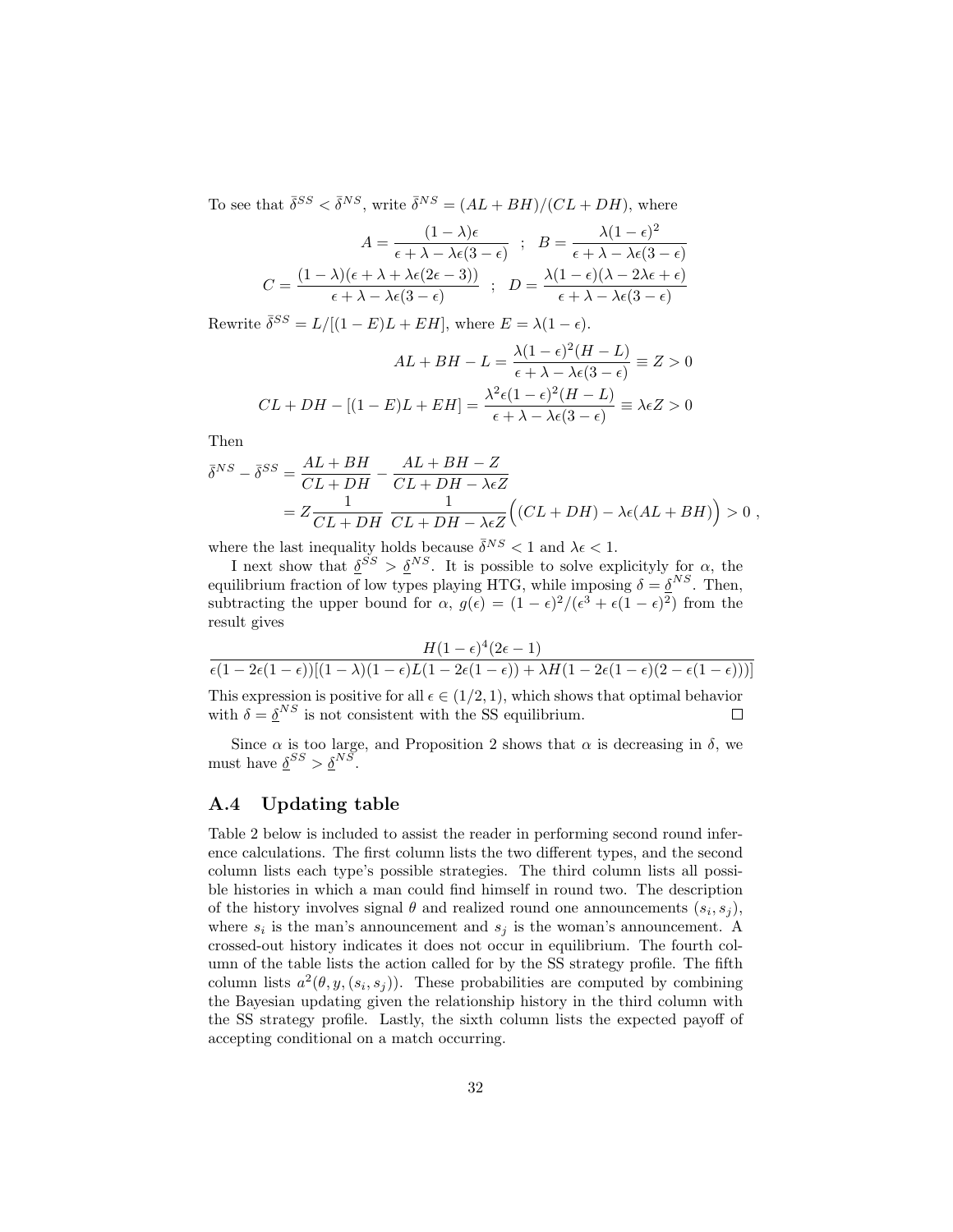To see that  $\bar{\delta}^{SS} < \bar{\delta}^{NS}$ , write  $\bar{\delta}^{NS} = (AL + BH)/(CL + DH)$ , where

$$
A = \frac{(1 - \lambda)\epsilon}{\epsilon + \lambda - \lambda\epsilon(3 - \epsilon)} \; ; \; B = \frac{\lambda(1 - \epsilon)^2}{\epsilon + \lambda - \lambda\epsilon(3 - \epsilon)}
$$

$$
C = \frac{(1 - \lambda)(\epsilon + \lambda + \lambda\epsilon(2\epsilon - 3))}{\epsilon + \lambda - \lambda\epsilon(3 - \epsilon)} \; ; \; D = \frac{\lambda(1 - \epsilon)(\lambda - 2\lambda\epsilon + \epsilon)}{\epsilon + \lambda - \lambda\epsilon(3 - \epsilon)}
$$

Rewrite  $\bar{\delta}^{SS} = L/[(1 - E)L + EH]$ , where  $E = \lambda(1 - \epsilon)$ .

$$
AL + BH - L = \frac{\lambda(1 - \epsilon)^2 (H - L)}{\epsilon + \lambda - \lambda \epsilon (3 - \epsilon)} \equiv Z > 0
$$

$$
CL + DH - [(1 - E)L + EH] = \frac{\lambda^2 \epsilon (1 - \epsilon)^2 (H - L)}{\epsilon + \lambda - \lambda \epsilon (3 - \epsilon)} \equiv \lambda \epsilon Z > 0
$$

Then

$$
\bar{\delta}^{NS} - \bar{\delta}^{SS} = \frac{AL + BH}{CL + DH} - \frac{AL + BH - Z}{CL + DH - \lambda \epsilon Z}
$$
  
=  $Z \frac{1}{CL + DH} \frac{1}{CL + DH - \lambda \epsilon Z} \Big( (CL + DH) - \lambda \epsilon (AL + BH) \Big) > 0,$ 

where the last inequality holds because  $\bar{\delta}^{NS} < 1$  and  $\lambda \epsilon < 1$ .

I next show that  $\underline{\delta}^{SS} > \underline{\delta}^{NS}$ . It is possible to solve explicityly for  $\alpha$ , the equilibrium fraction of low types playing HTG, while imposing  $\delta = \underline{\delta}^{NS}$ . Then, subtracting the upper bound for  $\alpha$ ,  $g(\epsilon) = (1 - \epsilon)^2/(\epsilon^3 + \epsilon(1 - \epsilon)^2)$  from the result gives

$$
\frac{H(1-\epsilon)^4(2\epsilon-1)}{\epsilon(1-2\epsilon(1-\epsilon))[(1-\lambda)(1-\epsilon)L(1-2\epsilon(1-\epsilon))+\lambda H(1-2\epsilon(1-\epsilon)(2-\epsilon(1-\epsilon)))]}
$$

This expression is positive for all  $\epsilon \in (1/2, 1)$ , which shows that optimal behavior with  $\delta = \underline{\delta}^{NS}$  is not consistent with the SS equilibrium.  $\Box$ 

Since  $\alpha$  is too large, and Proposition 2 shows that  $\alpha$  is decreasing in  $\delta$ , we must have  $\underline{\delta}^{SS} > \underline{\delta}^{NS}$ .

### A.4 Updating table

Table 2 below is included to assist the reader in performing second round inference calculations. The first column lists the two different types, and the second column lists each type's possible strategies. The third column lists all possible histories in which a man could find himself in round two. The description of the history involves signal  $\theta$  and realized round one announcements  $(s_i, s_j)$ , where  $s_i$  is the man's announcement and  $s_j$  is the woman's announcement. A crossed-out history indicates it does not occur in equilibrium. The fourth column of the table lists the action called for by the SS strategy profile. The fifth column lists  $a^2(\theta, y, (s_i, s_j))$ . These probabilities are computed by combining the Bayesian updating given the relationship history in the third column with the SS strategy profile. Lastly, the sixth column lists the expected payoff of accepting conditional on a match occurring.